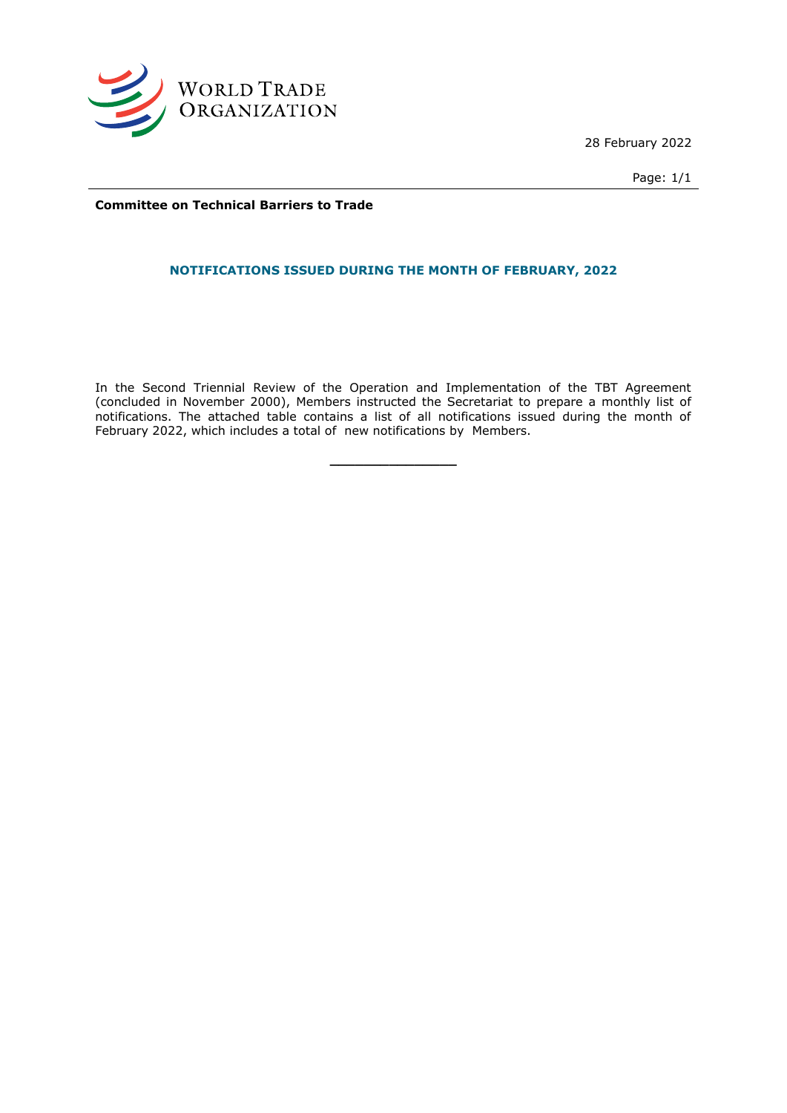

28 February 2022

Page: 1/1

**Committee on Technical Barriers to Trade**

## **NOTIFICATIONS ISSUED DURING THE MONTH OF FEBRUARY, 2022**

In the Second Triennial Review of the Operation and Implementation of the TBT Agreement (concluded in November 2000), Members instructed the Secretariat to prepare a monthly list of notifications. The attached table contains a list of all notifications issued during the month of February 2022, which includes a total of new notifications by Members.

**\_\_\_\_\_\_\_\_\_\_\_\_\_\_\_**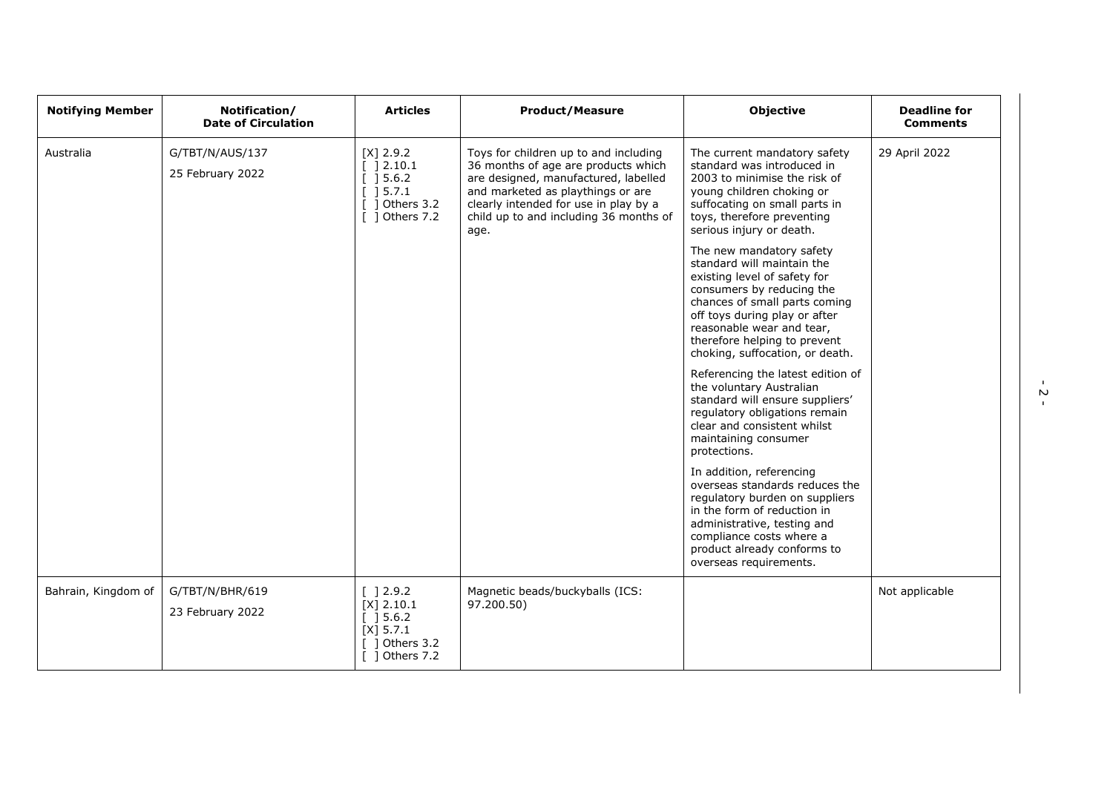| <b>Notifying Member</b> | Notification/<br><b>Date of Circulation</b> | <b>Articles</b>                                                                                                   | <b>Product/Measure</b>                                                                                                                                                                                                                               | <b>Objective</b>                                                                                                                                                                                                                                                                                                                                                                                                                         | <b>Deadline for</b><br><b>Comments</b> |
|-------------------------|---------------------------------------------|-------------------------------------------------------------------------------------------------------------------|------------------------------------------------------------------------------------------------------------------------------------------------------------------------------------------------------------------------------------------------------|------------------------------------------------------------------------------------------------------------------------------------------------------------------------------------------------------------------------------------------------------------------------------------------------------------------------------------------------------------------------------------------------------------------------------------------|----------------------------------------|
| Australia               | G/TBT/N/AUS/137<br>25 February 2022         | $[X]$ 2.9.2<br>$[$ ] 2.10.1<br>[ ] 5.6.2]<br>[ ] 5.7.1<br>$[$ ] Others 3.2<br>[ ] Others 7.2                      | Toys for children up to and including<br>36 months of age are products which<br>are designed, manufactured, labelled<br>and marketed as playthings or are<br>clearly intended for use in play by a<br>child up to and including 36 months of<br>age. | The current mandatory safety<br>standard was introduced in<br>2003 to minimise the risk of<br>young children choking or<br>suffocating on small parts in<br>toys, therefore preventing<br>serious injury or death.<br>The new mandatory safety<br>standard will maintain the<br>existing level of safety for<br>consumers by reducing the<br>chances of small parts coming<br>off toys during play or after<br>reasonable wear and tear, | 29 April 2022                          |
|                         |                                             |                                                                                                                   |                                                                                                                                                                                                                                                      | therefore helping to prevent<br>choking, suffocation, or death.<br>Referencing the latest edition of<br>the voluntary Australian<br>standard will ensure suppliers'<br>regulatory obligations remain<br>clear and consistent whilst<br>maintaining consumer<br>protections.                                                                                                                                                              |                                        |
|                         |                                             |                                                                                                                   |                                                                                                                                                                                                                                                      | In addition, referencing<br>overseas standards reduces the<br>regulatory burden on suppliers<br>in the form of reduction in<br>administrative, testing and<br>compliance costs where a<br>product already conforms to<br>overseas requirements.                                                                                                                                                                                          |                                        |
| Bahrain, Kingdom of     | G/TBT/N/BHR/619<br>23 February 2022         | [ ] 2.9.2<br>$[X]$ 2.10.1<br>$\left[\begin{array}{c}$ 15.6.2<br>$[X]$ 5.7.1<br>$[$ ] Others 3.2<br>[ ] Others 7.2 | Magnetic beads/buckyballs (ICS:<br>97.200.50)                                                                                                                                                                                                        |                                                                                                                                                                                                                                                                                                                                                                                                                                          | Not applicable                         |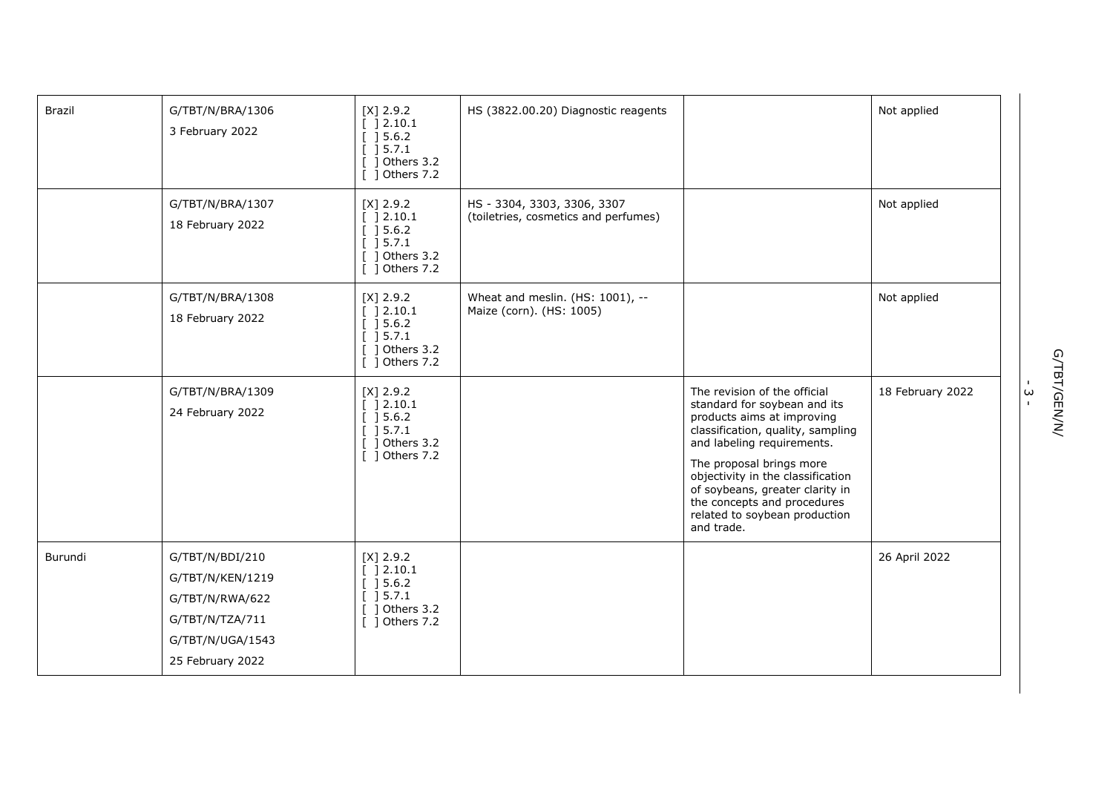| Brazil  | G/TBT/N/BRA/1306<br>3 February 2022                                                                               | $[X]$ 2.9.2<br>[ ] 2.10.1<br>[ ] 5.6.2]<br>] 5.7.1<br>] Others 3.2<br>1 Others 7.2                       | HS (3822.00.20) Diagnostic reagents                                 |                                                                                                                                                                                                                                                                                                                                                 | Not applied      |
|---------|-------------------------------------------------------------------------------------------------------------------|----------------------------------------------------------------------------------------------------------|---------------------------------------------------------------------|-------------------------------------------------------------------------------------------------------------------------------------------------------------------------------------------------------------------------------------------------------------------------------------------------------------------------------------------------|------------------|
|         | G/TBT/N/BRA/1307<br>18 February 2022                                                                              | $[X]$ 2.9.2<br>] 2.10.1<br>] 5.6.2<br>] 5.7.1<br>] Others 3.2<br>$\lceil$ 1 Others 7.2                   | HS - 3304, 3303, 3306, 3307<br>(toiletries, cosmetics and perfumes) |                                                                                                                                                                                                                                                                                                                                                 | Not applied      |
|         | G/TBT/N/BRA/1308<br>18 February 2022                                                                              | $[X]$ 2.9.2<br>[ ]2.10.1<br>$\left[\begin{array}{c}$ 15.6.2<br>] 5.7.1<br>1 Others 3.2<br>[ ] Others 7.2 | Wheat and meslin. (HS: 1001), --<br>Maize (corn). (HS: 1005)        |                                                                                                                                                                                                                                                                                                                                                 | Not applied      |
|         | G/TBT/N/BRA/1309<br>24 February 2022                                                                              | $[X]$ 2.9.2<br>] 2.10.1<br>] 5.6.2<br>] 5.7.1<br>] Others 3.2<br>[ ] Others 7.2                          |                                                                     | The revision of the official<br>standard for soybean and its<br>products aims at improving<br>classification, quality, sampling<br>and labeling requirements.<br>The proposal brings more<br>objectivity in the classification<br>of soybeans, greater clarity in<br>the concepts and procedures<br>related to soybean production<br>and trade. | 18 February 2022 |
| Burundi | G/TBT/N/BDI/210<br>G/TBT/N/KEN/1219<br>G/TBT/N/RWA/622<br>G/TBT/N/TZA/711<br>G/TBT/N/UGA/1543<br>25 February 2022 | $[X]$ 2.9.2<br>12.10.1<br>] 5.6.2<br>$[$ 15.7.1<br>] Others 3.2<br>] Others 7.2                          |                                                                     |                                                                                                                                                                                                                                                                                                                                                 | 26 April 2022    |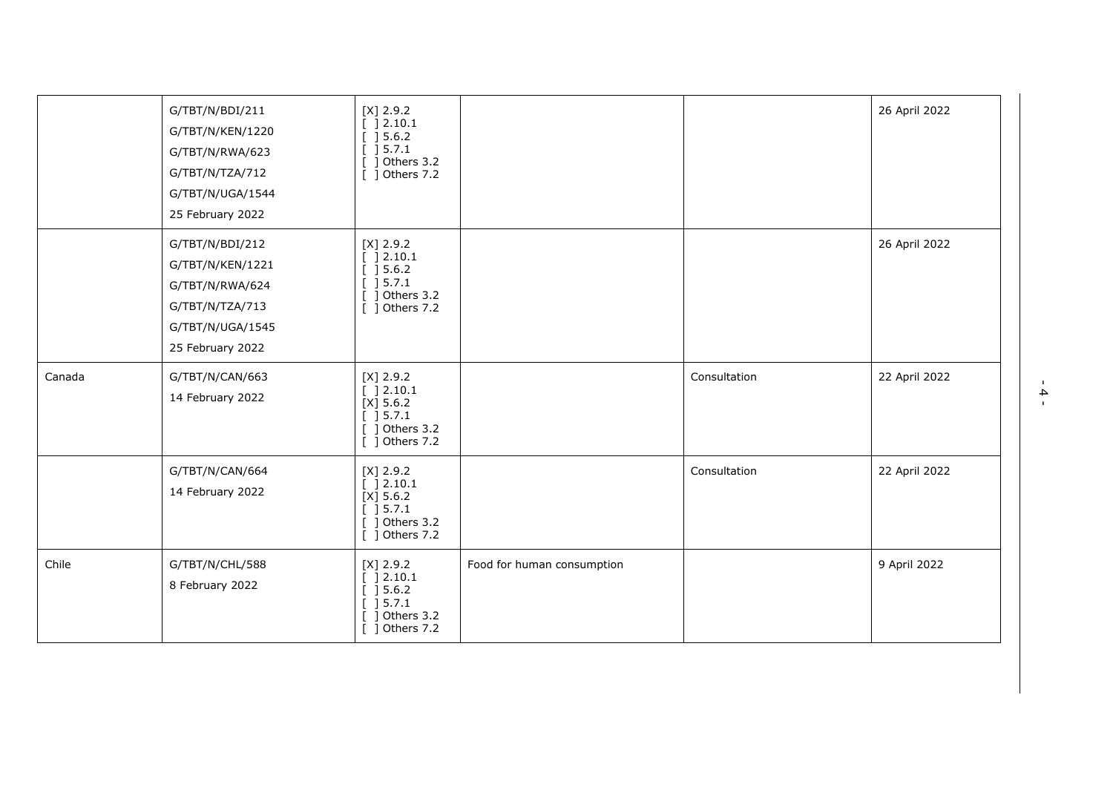|        | G/TBT/N/BDI/211<br>G/TBT/N/KEN/1220<br>G/TBT/N/RWA/623<br>G/TBT/N/TZA/712<br>G/TBT/N/UGA/1544<br>25 February 2022 | $[X]$ 2.9.2<br>[ ] 2.10.1<br>[ ] 5.6.2]<br>[ ] 5.7.1<br>$[$ ] Others 3.2<br>[ ] Others 7.2    |                            |              | 26 April 2022 |
|--------|-------------------------------------------------------------------------------------------------------------------|-----------------------------------------------------------------------------------------------|----------------------------|--------------|---------------|
|        | G/TBT/N/BDI/212<br>G/TBT/N/KEN/1221<br>G/TBT/N/RWA/624<br>G/TBT/N/TZA/713<br>G/TBT/N/UGA/1545<br>25 February 2022 | $[X]$ 2.9.2<br>] 2.10.1<br>[ ] 5.6.2]<br>[ ] 5.7.1<br>$[$ ] Others 3.2<br>[ ] Others 7.2      |                            |              | 26 April 2022 |
| Canada | G/TBT/N/CAN/663<br>14 February 2022                                                                               | $[X]$ 2.9.2<br>[ ] 2.10.1<br>$[X]$ 5.6.2<br>$[$ ] 5.7.1<br>$[$ ] Others 3.2<br>[ ] Others 7.2 |                            | Consultation | 22 April 2022 |
|        | G/TBT/N/CAN/664<br>14 February 2022                                                                               | $[X]$ 2.9.2<br>[ ] 2.10.1<br>$[X]$ 5.6.2<br>[ ] 5.7.1<br>$[$ ] Others 3.2<br>[ ] Others 7.2   |                            | Consultation | 22 April 2022 |
| Chile  | G/TBT/N/CHL/588<br>8 February 2022                                                                                | $[X]$ 2.9.2<br>] 2.10.1<br>[ ] 5.6.2]<br>[ ] 5.7.1<br>] Others 3.2<br>[ ] Others 7.2          | Food for human consumption |              | 9 April 2022  |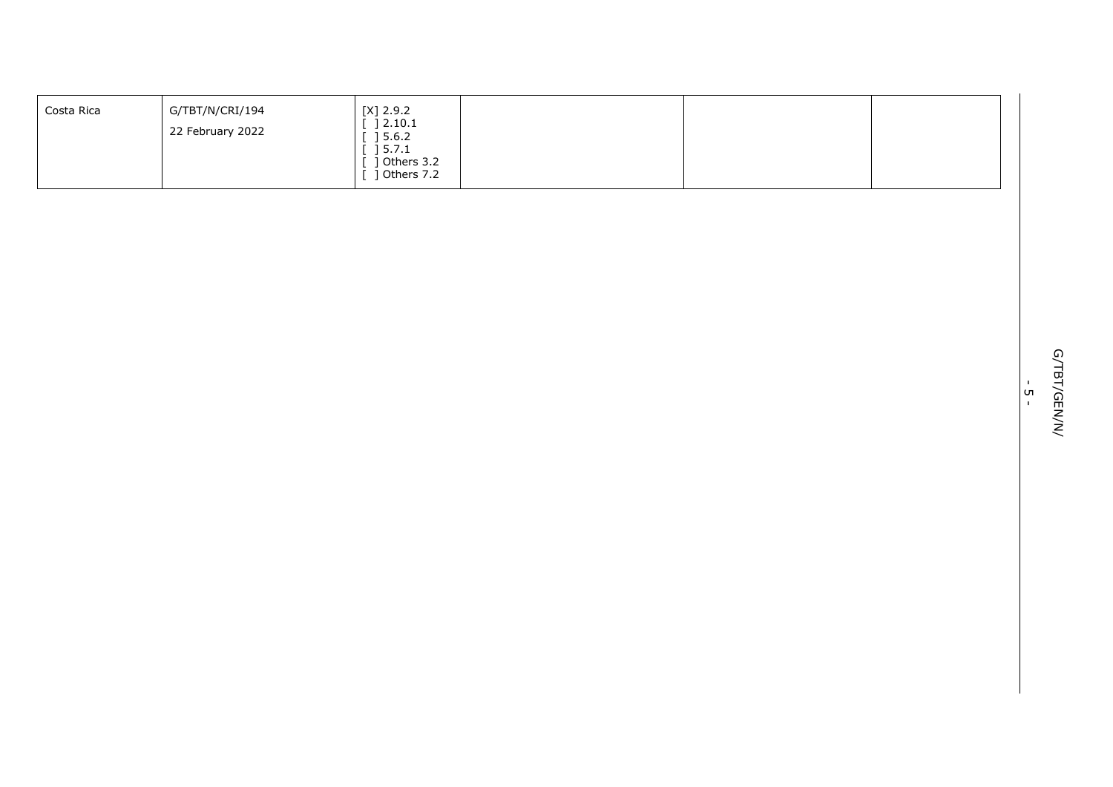| Costa Rica | G/TBT/N/CRI/194  | $[X]$ 2.9.2                                          |  |  |
|------------|------------------|------------------------------------------------------|--|--|
|            | 22 February 2022 | 2.10.1<br>5.6.2<br>5.7.1<br>Others 3.2<br>Others 7.2 |  |  |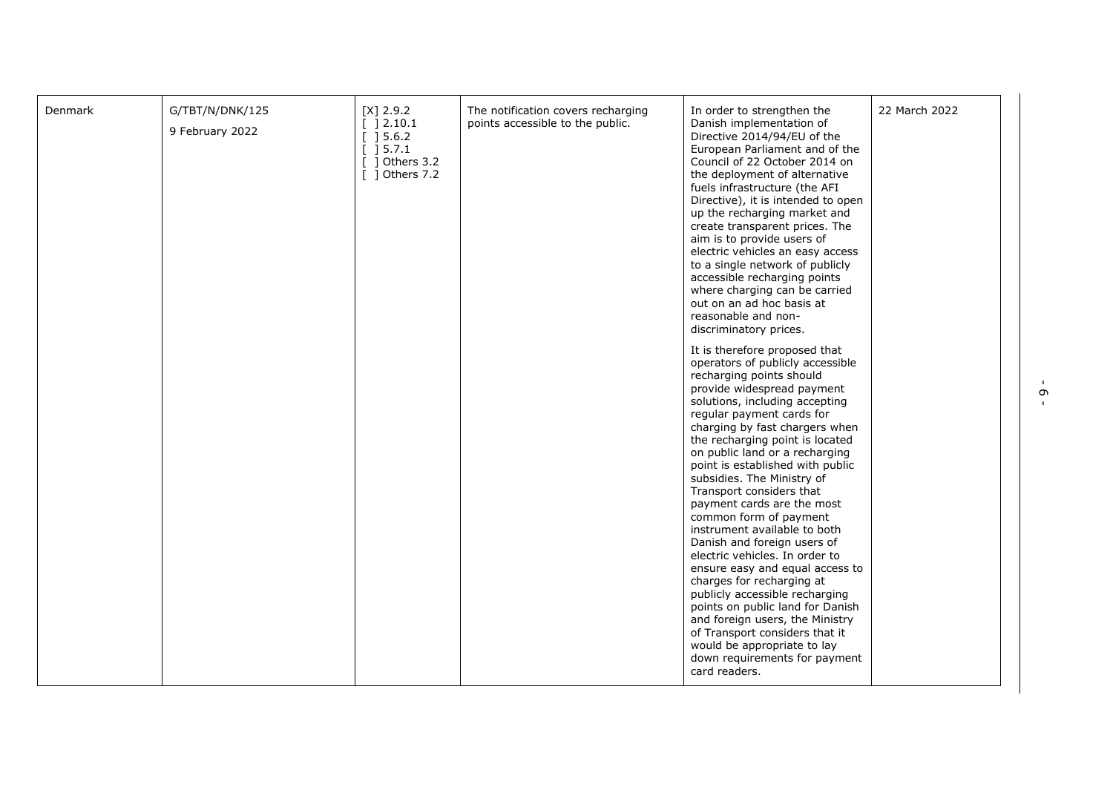| G/TBT/N/DNK/125<br>Denmark<br>$[X]$ 2.9.2<br>The notification covers recharging<br>In order to strengthen the<br>points accessible to the public.<br>[ ]2.10.1<br>Danish implementation of<br>9 February 2022<br>$[]$ 15.6.2<br>Directive 2014/94/EU of the<br>] 5.7.1<br>European Parliament and of the<br>$[$ ] Others 3.2<br>Council of 22 October 2014 on<br>$[$ ] Others 7.2<br>the deployment of alternative<br>fuels infrastructure (the AFI<br>Directive), it is intended to open<br>up the recharging market and<br>create transparent prices. The<br>aim is to provide users of<br>electric vehicles an easy access<br>to a single network of publicly<br>accessible recharging points<br>where charging can be carried<br>out on an ad hoc basis at<br>reasonable and non-<br>discriminatory prices.<br>It is therefore proposed that<br>operators of publicly accessible<br>recharging points should<br>provide widespread payment<br>solutions, including accepting<br>regular payment cards for<br>charging by fast chargers when<br>the recharging point is located<br>on public land or a recharging<br>point is established with public<br>subsidies. The Ministry of<br>Transport considers that<br>payment cards are the most<br>common form of payment<br>instrument available to both<br>Danish and foreign users of<br>electric vehicles. In order to<br>ensure easy and equal access to<br>charges for recharging at<br>publicly accessible recharging<br>points on public land for Danish<br>and foreign users, the Ministry<br>of Transport considers that it<br>would be appropriate to lay<br>down requirements for payment<br>card readers. | 22 March 2022 |
|-------------------------------------------------------------------------------------------------------------------------------------------------------------------------------------------------------------------------------------------------------------------------------------------------------------------------------------------------------------------------------------------------------------------------------------------------------------------------------------------------------------------------------------------------------------------------------------------------------------------------------------------------------------------------------------------------------------------------------------------------------------------------------------------------------------------------------------------------------------------------------------------------------------------------------------------------------------------------------------------------------------------------------------------------------------------------------------------------------------------------------------------------------------------------------------------------------------------------------------------------------------------------------------------------------------------------------------------------------------------------------------------------------------------------------------------------------------------------------------------------------------------------------------------------------------------------------------------------------------------------------------------------------------------------|---------------|
|-------------------------------------------------------------------------------------------------------------------------------------------------------------------------------------------------------------------------------------------------------------------------------------------------------------------------------------------------------------------------------------------------------------------------------------------------------------------------------------------------------------------------------------------------------------------------------------------------------------------------------------------------------------------------------------------------------------------------------------------------------------------------------------------------------------------------------------------------------------------------------------------------------------------------------------------------------------------------------------------------------------------------------------------------------------------------------------------------------------------------------------------------------------------------------------------------------------------------------------------------------------------------------------------------------------------------------------------------------------------------------------------------------------------------------------------------------------------------------------------------------------------------------------------------------------------------------------------------------------------------------------------------------------------------|---------------|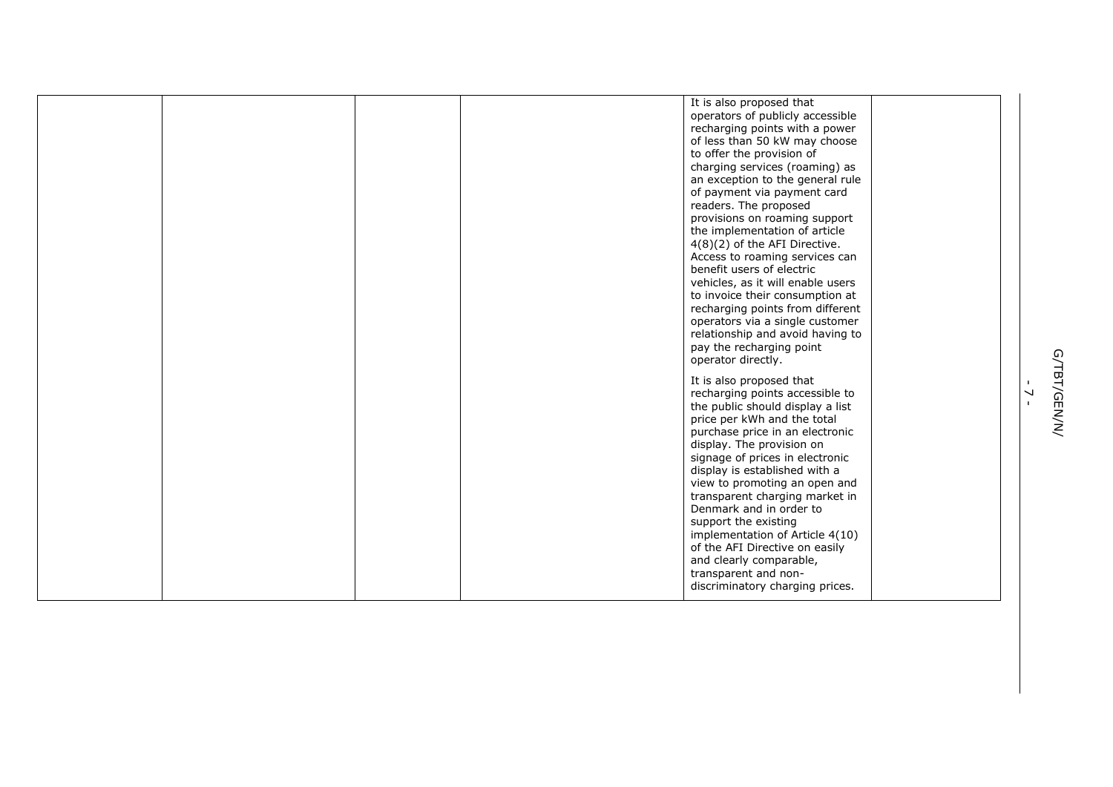|  |  | It is also proposed that          |  |
|--|--|-----------------------------------|--|
|  |  | operators of publicly accessible  |  |
|  |  | recharging points with a power    |  |
|  |  | of less than 50 kW may choose     |  |
|  |  | to offer the provision of         |  |
|  |  | charging services (roaming) as    |  |
|  |  | an exception to the general rule  |  |
|  |  | of payment via payment card       |  |
|  |  | readers. The proposed             |  |
|  |  | provisions on roaming support     |  |
|  |  | the implementation of article     |  |
|  |  | $4(8)(2)$ of the AFI Directive.   |  |
|  |  | Access to roaming services can    |  |
|  |  | benefit users of electric         |  |
|  |  | vehicles, as it will enable users |  |
|  |  | to invoice their consumption at   |  |
|  |  | recharging points from different  |  |
|  |  |                                   |  |
|  |  | operators via a single customer   |  |
|  |  | relationship and avoid having to  |  |
|  |  | pay the recharging point          |  |
|  |  | operator directly.                |  |
|  |  | It is also proposed that          |  |
|  |  | recharging points accessible to   |  |
|  |  | the public should display a list  |  |
|  |  | price per kWh and the total       |  |
|  |  | purchase price in an electronic   |  |
|  |  | display. The provision on         |  |
|  |  | signage of prices in electronic   |  |
|  |  | display is established with a     |  |
|  |  | view to promoting an open and     |  |
|  |  | transparent charging market in    |  |
|  |  | Denmark and in order to           |  |
|  |  | support the existing              |  |
|  |  | implementation of Article 4(10)   |  |
|  |  | of the AFI Directive on easily    |  |
|  |  |                                   |  |
|  |  | and clearly comparable,           |  |
|  |  | transparent and non-              |  |
|  |  | discriminatory charging prices.   |  |
|  |  |                                   |  |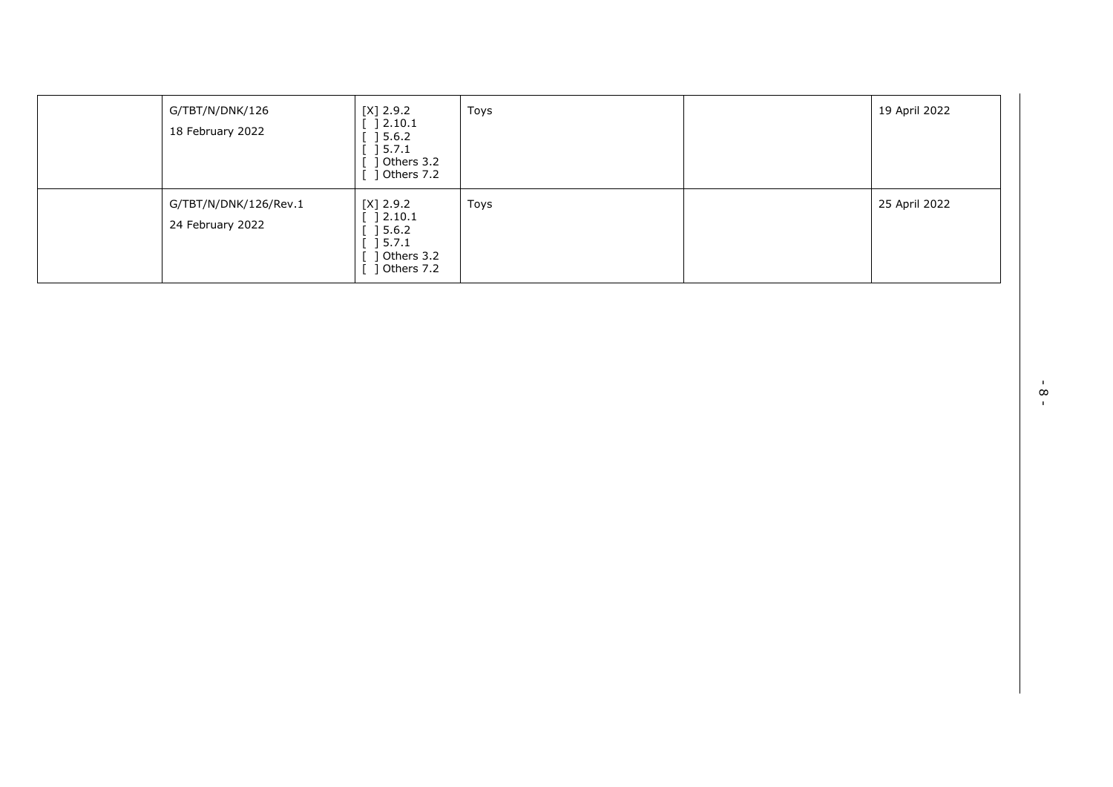| G/TBT/N/DNK/126<br>18 February 2022       | $[X]$ 2.9.2<br>$[$ 12.10.1<br>$\begin{array}{c} \end{array} \begin{array}{c} \text{5.6.2} \end{array}$<br>$\sqrt{5.7.1}$<br>] Others 3.2<br>] Others 7.2 | Toys | 19 April 2022 |
|-------------------------------------------|----------------------------------------------------------------------------------------------------------------------------------------------------------|------|---------------|
| G/TBT/N/DNK/126/Rev.1<br>24 February 2022 | $[X]$ 2.9.2<br>$[$ 12.10.1<br>$\begin{array}{c} \end{array} \begin{array}{c} \text{5.6.2} \end{array}$<br>] 5.7.1<br>1 Others 3.2<br>] Others 7.2        | Toys | 25 April 2022 |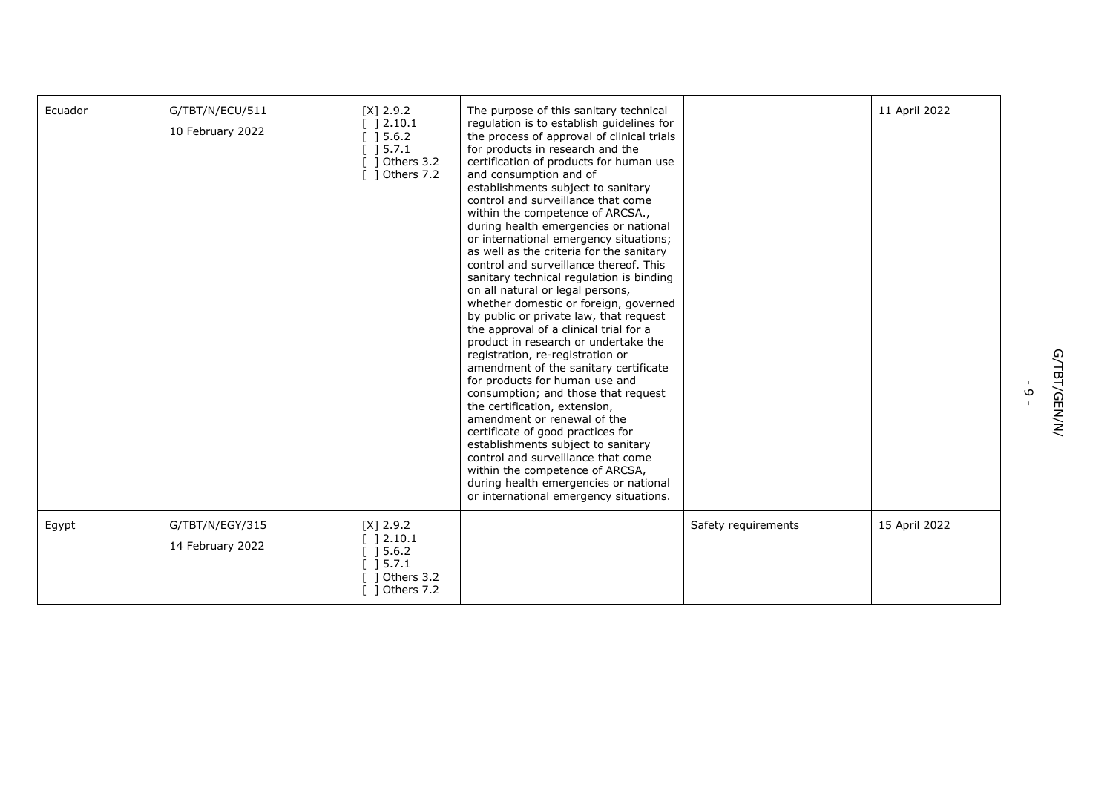| Ecuador | G/TBT/N/ECU/511<br>10 February 2022 | $[X]$ 2.9.2<br>[ ] 2.10.1<br>[ ] 5.6.2]<br>15.7.1<br>1 Others 3.2<br>1 Others 7.2 | The purpose of this sanitary technical<br>regulation is to establish guidelines for<br>the process of approval of clinical trials<br>for products in research and the<br>certification of products for human use<br>and consumption and of<br>establishments subject to sanitary<br>control and surveillance that come<br>within the competence of ARCSA.,<br>during health emergencies or national<br>or international emergency situations;<br>as well as the criteria for the sanitary<br>control and surveillance thereof. This<br>sanitary technical regulation is binding<br>on all natural or legal persons,<br>whether domestic or foreign, governed<br>by public or private law, that request<br>the approval of a clinical trial for a<br>product in research or undertake the<br>registration, re-registration or<br>amendment of the sanitary certificate<br>for products for human use and<br>consumption; and those that request<br>the certification, extension,<br>amendment or renewal of the<br>certificate of good practices for<br>establishments subject to sanitary<br>control and surveillance that come<br>within the competence of ARCSA,<br>during health emergencies or national<br>or international emergency situations. |                     | 11 April 2022 |
|---------|-------------------------------------|-----------------------------------------------------------------------------------|-------------------------------------------------------------------------------------------------------------------------------------------------------------------------------------------------------------------------------------------------------------------------------------------------------------------------------------------------------------------------------------------------------------------------------------------------------------------------------------------------------------------------------------------------------------------------------------------------------------------------------------------------------------------------------------------------------------------------------------------------------------------------------------------------------------------------------------------------------------------------------------------------------------------------------------------------------------------------------------------------------------------------------------------------------------------------------------------------------------------------------------------------------------------------------------------------------------------------------------------------------|---------------------|---------------|
| Egypt   | G/TBT/N/EGY/315<br>14 February 2022 | $[X]$ 2.9.2<br>12.10.1<br>] 5.6.2<br>] 5.7.1<br>] Others 3.2<br>1 Others 7.2      |                                                                                                                                                                                                                                                                                                                                                                                                                                                                                                                                                                                                                                                                                                                                                                                                                                                                                                                                                                                                                                                                                                                                                                                                                                                       | Safety requirements | 15 April 2022 |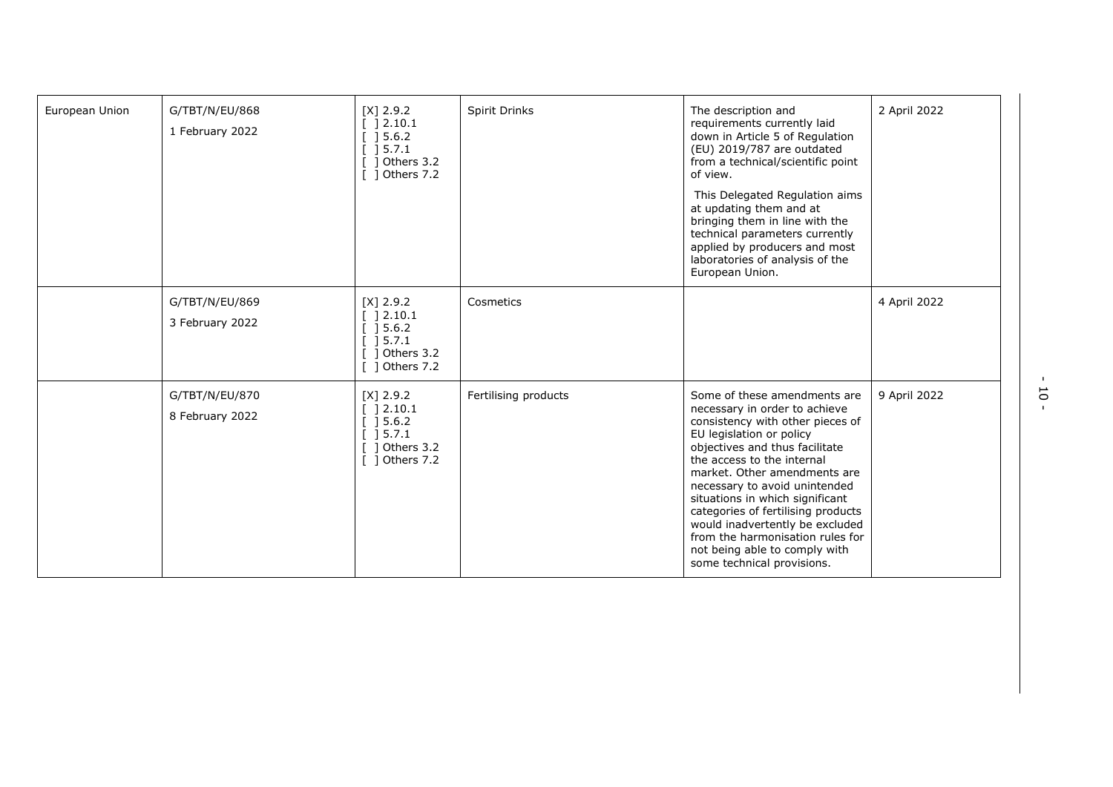| European Union | G/TBT/N/EU/868<br>1 February 2022 | $[X]$ 2.9.2<br>$[$ 12.10.1<br>[ ] 5.6.2]<br>[ ] 5.7.1<br>[ ] Others 3.2<br>[ ] Others 7.2   | <b>Spirit Drinks</b> | The description and<br>requirements currently laid<br>down in Article 5 of Regulation<br>(EU) 2019/787 are outdated<br>from a technical/scientific point<br>of view.<br>This Delegated Regulation aims<br>at updating them and at<br>bringing them in line with the<br>technical parameters currently<br>applied by producers and most<br>laboratories of analysis of the<br>European Union.                                                                                  | 2 April 2022 |
|----------------|-----------------------------------|---------------------------------------------------------------------------------------------|----------------------|-------------------------------------------------------------------------------------------------------------------------------------------------------------------------------------------------------------------------------------------------------------------------------------------------------------------------------------------------------------------------------------------------------------------------------------------------------------------------------|--------------|
|                | G/TBT/N/EU/869<br>3 February 2022 | $[X]$ 2.9.2<br>[ ] 2.10.1<br>$[$ 15.6.2<br>$[$ 15.7.1<br>[ ] Others 3.2<br>$[$ ] Others 7.2 | Cosmetics            |                                                                                                                                                                                                                                                                                                                                                                                                                                                                               | 4 April 2022 |
|                | G/TBT/N/EU/870<br>8 February 2022 | $[X]$ 2.9.2<br>[ ] 2.10.1<br>[ ] 5.6.2]<br>[ ] 5.7.1<br>$[$ ] Others 3.2<br>[ ] Others 7.2  | Fertilising products | Some of these amendments are<br>necessary in order to achieve<br>consistency with other pieces of<br>EU legislation or policy<br>objectives and thus facilitate<br>the access to the internal<br>market. Other amendments are<br>necessary to avoid unintended<br>situations in which significant<br>categories of fertilising products<br>would inadvertently be excluded<br>from the harmonisation rules for<br>not being able to comply with<br>some technical provisions. | 9 April 2022 |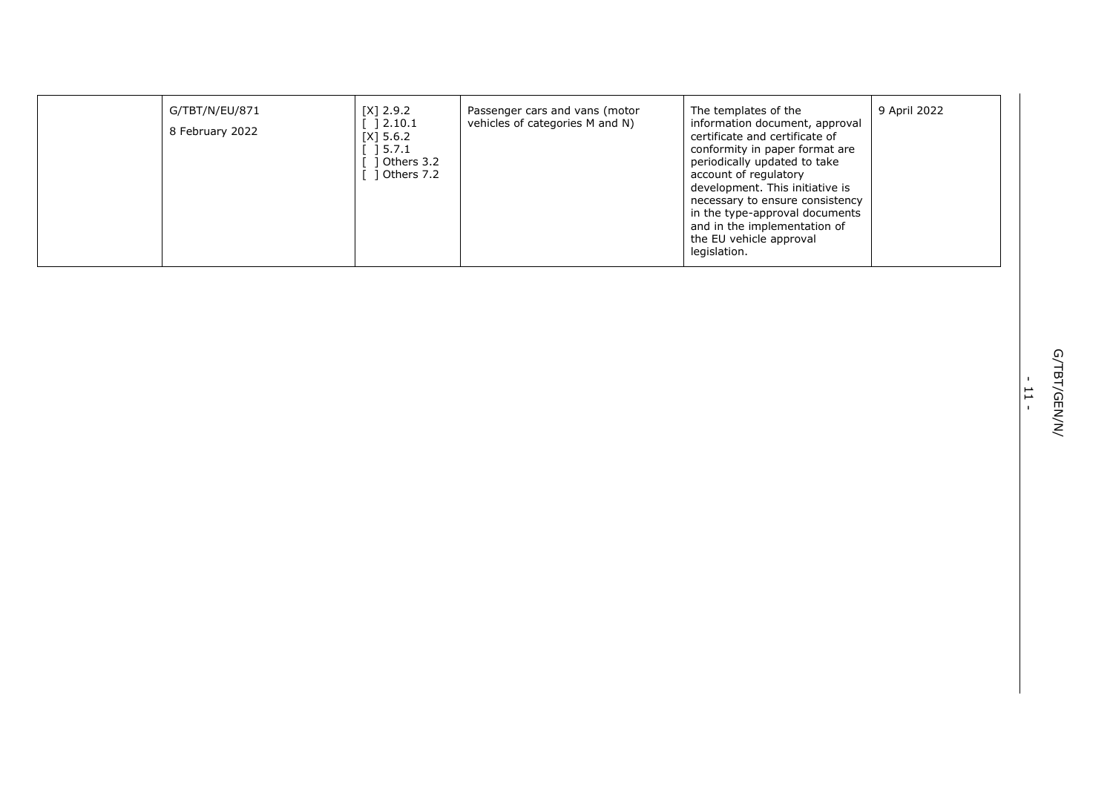| G/TBT/N/EU/871<br>8 February 2022 | $[X]$ 2.9.2<br>12.10.1<br>[X] 5.6.2<br>$\begin{array}{c} \begin{array}{c} \end{array} \end{array}$ 5.7.1<br>1 Others 3.2<br>Dthers 7.2 | Passenger cars and vans (motor<br>vehicles of categories M and N) | The templates of the<br>information document, approval<br>certificate and certificate of<br>conformity in paper format are<br>periodically updated to take<br>account of regulatory<br>development. This initiative is<br>necessary to ensure consistency<br>in the type-approval documents<br>and in the implementation of<br>the EU vehicle approval<br>legislation. | 9 April 2022 |
|-----------------------------------|----------------------------------------------------------------------------------------------------------------------------------------|-------------------------------------------------------------------|------------------------------------------------------------------------------------------------------------------------------------------------------------------------------------------------------------------------------------------------------------------------------------------------------------------------------------------------------------------------|--------------|
|-----------------------------------|----------------------------------------------------------------------------------------------------------------------------------------|-------------------------------------------------------------------|------------------------------------------------------------------------------------------------------------------------------------------------------------------------------------------------------------------------------------------------------------------------------------------------------------------------------------------------------------------------|--------------|

- ب<br>-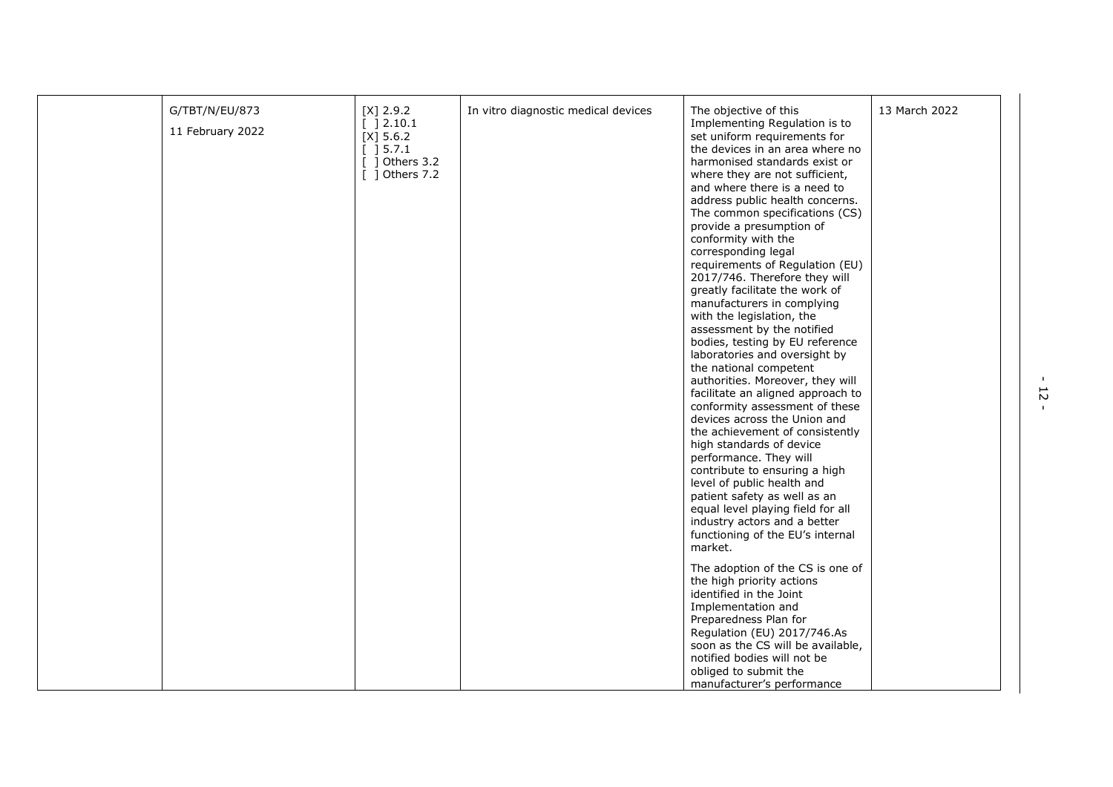| G/TBT/N/EU/873<br>11 February 2022 | $[X]$ 2.9.2<br>[ ] 2.10.1<br>$[X]$ 5.6.2<br>[ ] 5.7.1<br>$[$ ] Others 3.2<br>[ ] Others 7.2 | In vitro diagnostic medical devices | The objective of this<br>Implementing Regulation is to<br>set uniform requirements for<br>the devices in an area where no<br>harmonised standards exist or<br>where they are not sufficient,<br>and where there is a need to<br>address public health concerns.<br>The common specifications (CS)<br>provide a presumption of<br>conformity with the<br>corresponding legal<br>requirements of Regulation (EU)<br>2017/746. Therefore they will<br>greatly facilitate the work of<br>manufacturers in complying<br>with the legislation, the<br>assessment by the notified<br>bodies, testing by EU reference<br>laboratories and oversight by<br>the national competent<br>authorities. Moreover, they will<br>facilitate an aligned approach to<br>conformity assessment of these<br>devices across the Union and<br>the achievement of consistently<br>high standards of device<br>performance. They will<br>contribute to ensuring a high<br>level of public health and<br>patient safety as well as an<br>equal level playing field for all<br>industry actors and a better<br>functioning of the EU's internal<br>market.<br>The adoption of the CS is one of<br>the high priority actions | 13 March 2022 |
|------------------------------------|---------------------------------------------------------------------------------------------|-------------------------------------|--------------------------------------------------------------------------------------------------------------------------------------------------------------------------------------------------------------------------------------------------------------------------------------------------------------------------------------------------------------------------------------------------------------------------------------------------------------------------------------------------------------------------------------------------------------------------------------------------------------------------------------------------------------------------------------------------------------------------------------------------------------------------------------------------------------------------------------------------------------------------------------------------------------------------------------------------------------------------------------------------------------------------------------------------------------------------------------------------------------------------------------------------------------------------------------------------|---------------|
|                                    |                                                                                             |                                     | identified in the Joint<br>Implementation and<br>Preparedness Plan for<br>Regulation (EU) 2017/746.As<br>soon as the CS will be available,<br>notified bodies will not be<br>obliged to submit the<br>manufacturer's performance                                                                                                                                                                                                                                                                                                                                                                                                                                                                                                                                                                                                                                                                                                                                                                                                                                                                                                                                                                 |               |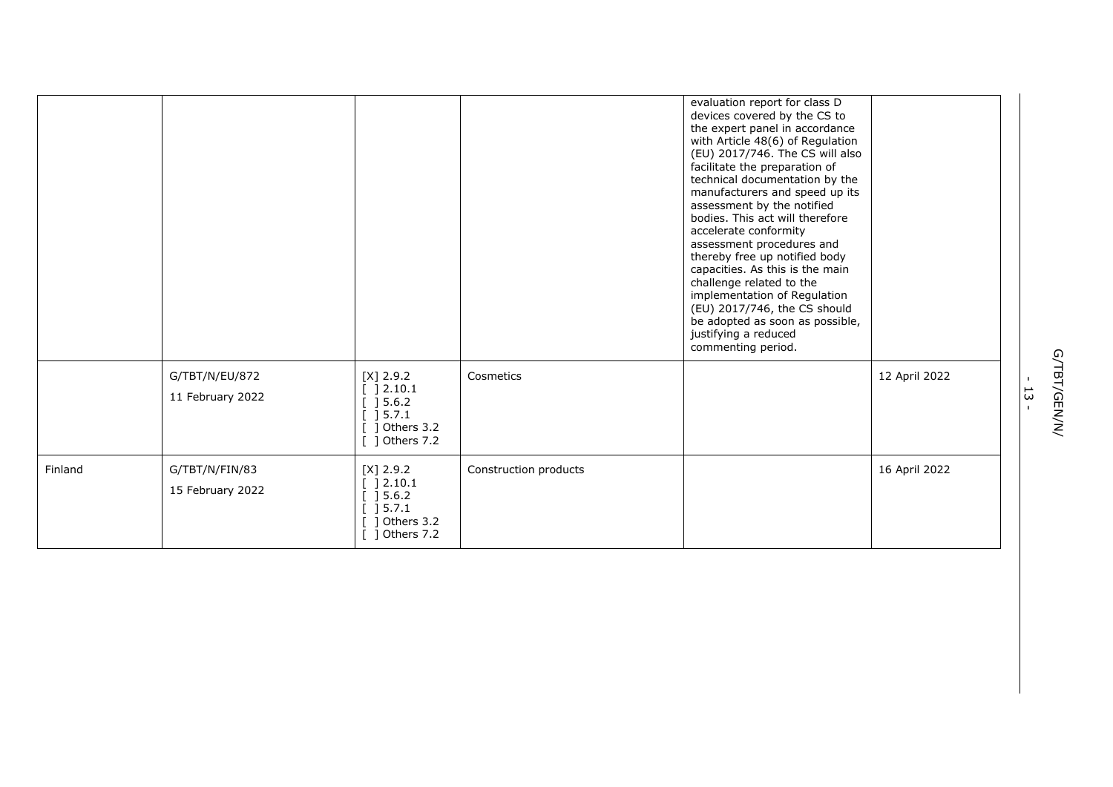|         |                                    |                                                                                                                                      |                       | evaluation report for class D<br>devices covered by the CS to<br>the expert panel in accordance<br>with Article 48(6) of Regulation<br>(EU) 2017/746. The CS will also<br>facilitate the preparation of<br>technical documentation by the<br>manufacturers and speed up its<br>assessment by the notified<br>bodies. This act will therefore<br>accelerate conformity<br>assessment procedures and<br>thereby free up notified body<br>capacities. As this is the main<br>challenge related to the<br>implementation of Regulation<br>(EU) 2017/746, the CS should<br>be adopted as soon as possible,<br>justifying a reduced<br>commenting period. |               |
|---------|------------------------------------|--------------------------------------------------------------------------------------------------------------------------------------|-----------------------|-----------------------------------------------------------------------------------------------------------------------------------------------------------------------------------------------------------------------------------------------------------------------------------------------------------------------------------------------------------------------------------------------------------------------------------------------------------------------------------------------------------------------------------------------------------------------------------------------------------------------------------------------------|---------------|
|         | G/TBT/N/EU/872<br>11 February 2022 | $[X]$ 2.9.2<br>[ ] 2.10.1<br>$\left[\begin{array}{c}\right]$ 5.6.2<br>$[ ] 5.7.1$<br>$[$ ] Others 3.2<br>$[$ ] Others 7.2            | Cosmetics             |                                                                                                                                                                                                                                                                                                                                                                                                                                                                                                                                                                                                                                                     | 12 April 2022 |
| Finland | G/TBT/N/FIN/83<br>15 February 2022 | $[X]$ 2.9.2<br>[ ] 2.10.1<br>[ ] 5.6.2]<br>$\left[\begin{array}{c}1\end{array}\right]$ 5.7.1<br>$[$ ] Others 3.2<br>$[$ ] Others 7.2 | Construction products |                                                                                                                                                                                                                                                                                                                                                                                                                                                                                                                                                                                                                                                     | 16 April 2022 |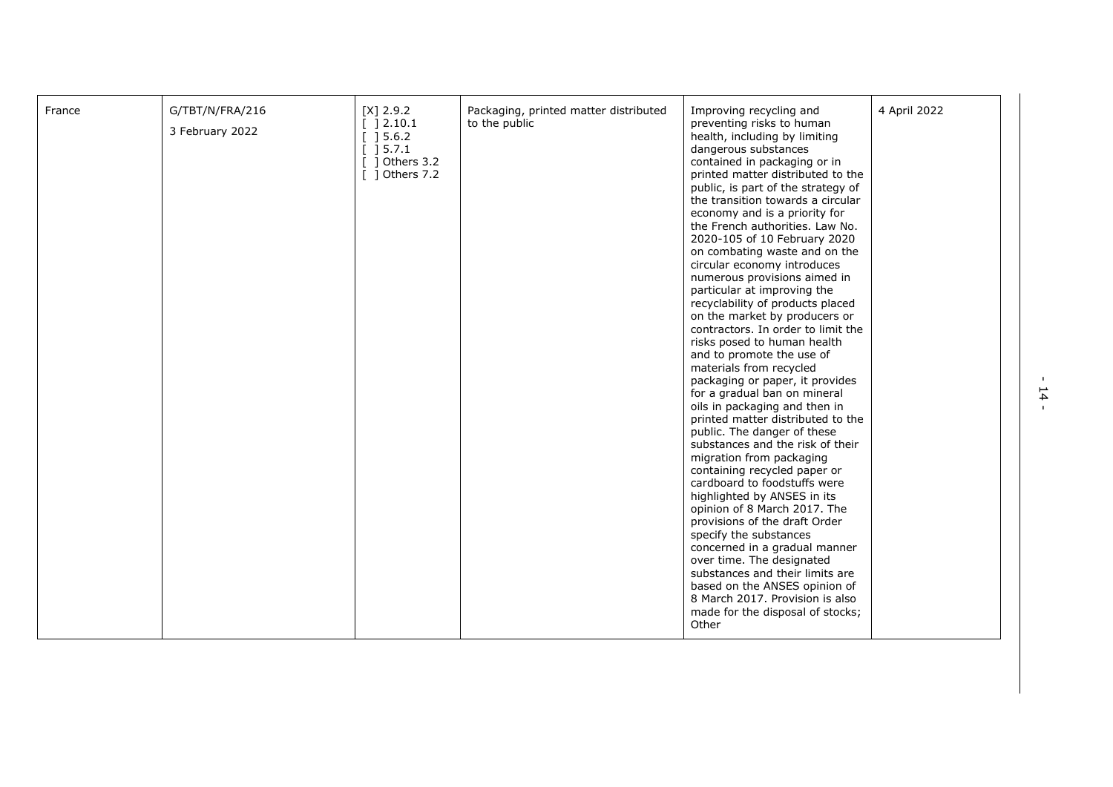| France | G/TBT/N/FRA/216<br>3 February 2022 | $[X]$ 2.9.2<br>] 2.10.1<br>$[$ 15.6.2<br>$\left[\begin{array}{c} 15.7.1 \end{array}\right]$<br>] Others 3.2<br>[ ] Others 7.2 | Packaging, printed matter distributed<br>to the public | Improving recycling and<br>preventing risks to human<br>health, including by limiting<br>dangerous substances<br>contained in packaging or in<br>printed matter distributed to the<br>public, is part of the strategy of<br>the transition towards a circular<br>economy and is a priority for<br>the French authorities. Law No.<br>2020-105 of 10 February 2020<br>on combating waste and on the<br>circular economy introduces<br>numerous provisions aimed in<br>particular at improving the<br>recyclability of products placed<br>on the market by producers or<br>contractors. In order to limit the<br>risks posed to human health<br>and to promote the use of<br>materials from recycled<br>packaging or paper, it provides<br>for a gradual ban on mineral<br>oils in packaging and then in<br>printed matter distributed to the<br>public. The danger of these<br>substances and the risk of their<br>migration from packaging<br>containing recycled paper or<br>cardboard to foodstuffs were<br>highlighted by ANSES in its<br>opinion of 8 March 2017. The<br>provisions of the draft Order<br>specify the substances<br>concerned in a gradual manner<br>over time. The designated<br>substances and their limits are<br>based on the ANSES opinion of<br>8 March 2017. Provision is also | 4 April 2022 |
|--------|------------------------------------|-------------------------------------------------------------------------------------------------------------------------------|--------------------------------------------------------|-----------------------------------------------------------------------------------------------------------------------------------------------------------------------------------------------------------------------------------------------------------------------------------------------------------------------------------------------------------------------------------------------------------------------------------------------------------------------------------------------------------------------------------------------------------------------------------------------------------------------------------------------------------------------------------------------------------------------------------------------------------------------------------------------------------------------------------------------------------------------------------------------------------------------------------------------------------------------------------------------------------------------------------------------------------------------------------------------------------------------------------------------------------------------------------------------------------------------------------------------------------------------------------------------------------|--------------|
|        |                                    |                                                                                                                               |                                                        | made for the disposal of stocks;<br>Other                                                                                                                                                                                                                                                                                                                                                                                                                                                                                                                                                                                                                                                                                                                                                                                                                                                                                                                                                                                                                                                                                                                                                                                                                                                                 |              |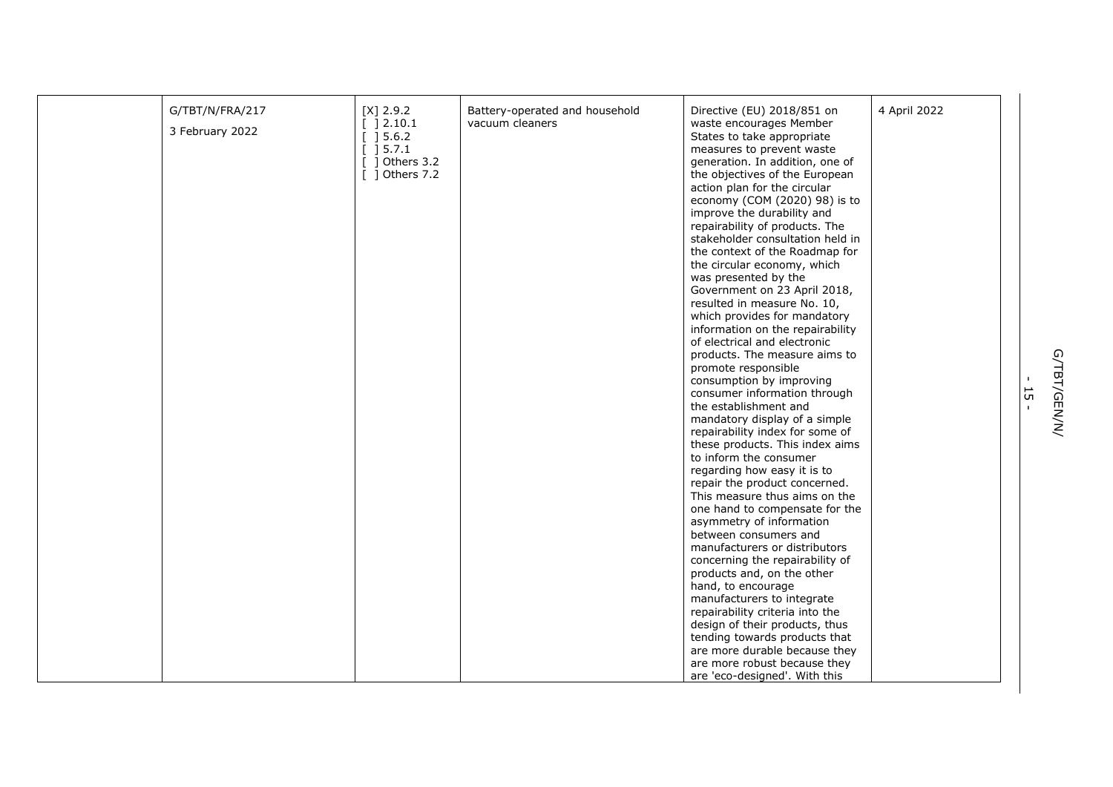| G/TBT/N/FRA/217 | $[X]$ 2.9.2                                   | Battery-operated and household | Directive (EU) 2018/851 on       | 4 April 2022 |
|-----------------|-----------------------------------------------|--------------------------------|----------------------------------|--------------|
| 3 February 2022 | $[ ] 2.10.1$                                  | vacuum cleaners                | waste encourages Member          |              |
|                 | [ ] 5.6.2]                                    |                                | States to take appropriate       |              |
|                 | $\begin{bmatrix} 1 & 5 & 7 & 1 \end{bmatrix}$ |                                | measures to prevent waste        |              |
|                 | $[$ ] Others 3.2                              |                                | generation. In addition, one of  |              |
|                 | $[$ ] Others 7.2                              |                                | the objectives of the European   |              |
|                 |                                               |                                | action plan for the circular     |              |
|                 |                                               |                                | economy (COM (2020) 98) is to    |              |
|                 |                                               |                                | improve the durability and       |              |
|                 |                                               |                                | repairability of products. The   |              |
|                 |                                               |                                | stakeholder consultation held in |              |
|                 |                                               |                                | the context of the Roadmap for   |              |
|                 |                                               |                                | the circular economy, which      |              |
|                 |                                               |                                | was presented by the             |              |
|                 |                                               |                                | Government on 23 April 2018,     |              |
|                 |                                               |                                | resulted in measure No. 10,      |              |
|                 |                                               |                                | which provides for mandatory     |              |
|                 |                                               |                                | information on the repairability |              |
|                 |                                               |                                | of electrical and electronic     |              |
|                 |                                               |                                | products. The measure aims to    |              |
|                 |                                               |                                | promote responsible              |              |
|                 |                                               |                                | consumption by improving         |              |
|                 |                                               |                                | consumer information through     |              |
|                 |                                               |                                | the establishment and            |              |
|                 |                                               |                                | mandatory display of a simple    |              |
|                 |                                               |                                | repairability index for some of  |              |
|                 |                                               |                                | these products. This index aims  |              |
|                 |                                               |                                | to inform the consumer           |              |
|                 |                                               |                                | regarding how easy it is to      |              |
|                 |                                               |                                | repair the product concerned.    |              |
|                 |                                               |                                | This measure thus aims on the    |              |
|                 |                                               |                                | one hand to compensate for the   |              |
|                 |                                               |                                | asymmetry of information         |              |
|                 |                                               |                                | between consumers and            |              |
|                 |                                               |                                | manufacturers or distributors    |              |
|                 |                                               |                                | concerning the repairability of  |              |
|                 |                                               |                                | products and, on the other       |              |
|                 |                                               |                                | hand, to encourage               |              |
|                 |                                               |                                | manufacturers to integrate       |              |
|                 |                                               |                                | repairability criteria into the  |              |
|                 |                                               |                                | design of their products, thus   |              |
|                 |                                               |                                | tending towards products that    |              |
|                 |                                               |                                | are more durable because they    |              |
|                 |                                               |                                | are more robust because they     |              |
|                 |                                               |                                | are 'eco-designed'. With this    |              |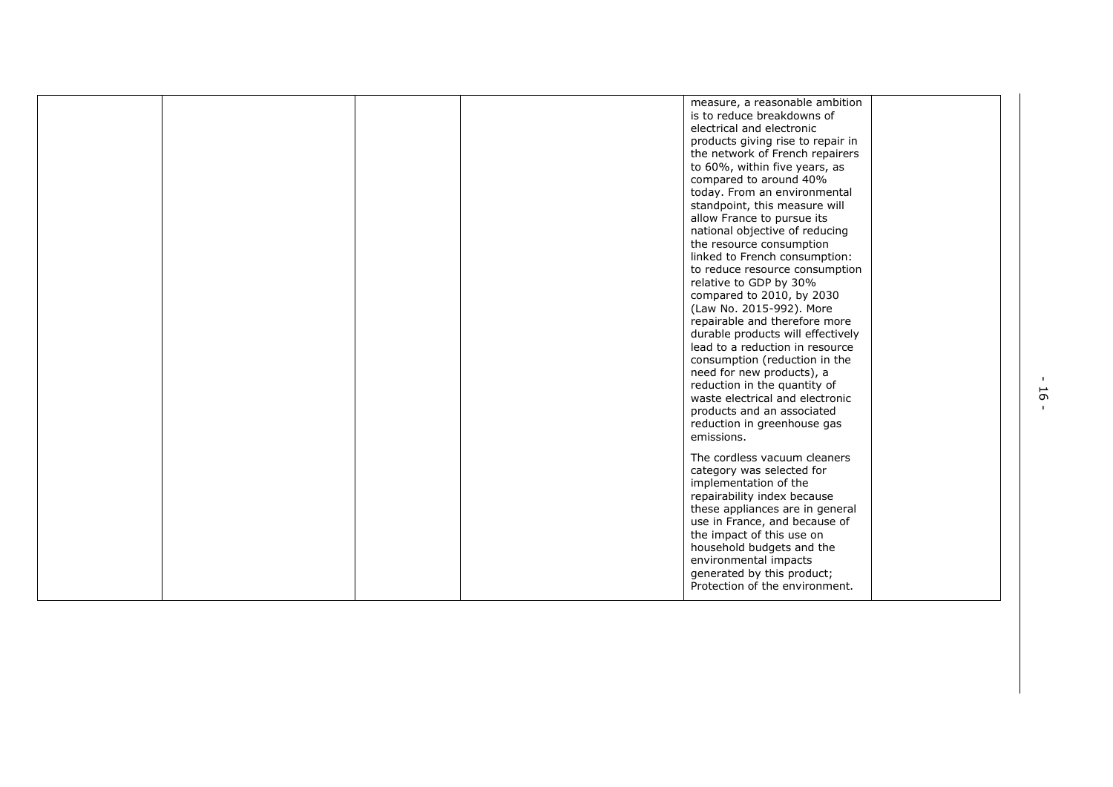|  |  | measure, a reasonable ambition<br>is to reduce breakdowns of<br>electrical and electronic<br>products giving rise to repair in<br>the network of French repairers<br>to 60%, within five years, as<br>compared to around 40%<br>today. From an environmental<br>standpoint, this measure will<br>allow France to pursue its<br>national objective of reducing<br>the resource consumption<br>linked to French consumption:<br>to reduce resource consumption<br>relative to GDP by 30%<br>compared to 2010, by 2030<br>(Law No. 2015-992). More<br>repairable and therefore more<br>durable products will effectively<br>lead to a reduction in resource<br>consumption (reduction in the<br>need for new products), a<br>reduction in the quantity of<br>waste electrical and electronic<br>products and an associated<br>reduction in greenhouse gas<br>emissions. |  |
|--|--|----------------------------------------------------------------------------------------------------------------------------------------------------------------------------------------------------------------------------------------------------------------------------------------------------------------------------------------------------------------------------------------------------------------------------------------------------------------------------------------------------------------------------------------------------------------------------------------------------------------------------------------------------------------------------------------------------------------------------------------------------------------------------------------------------------------------------------------------------------------------|--|
|  |  | The cordless vacuum cleaners<br>category was selected for<br>implementation of the<br>repairability index because<br>these appliances are in general<br>use in France, and because of<br>the impact of this use on<br>household budgets and the<br>environmental impacts<br>generated by this product;<br>Protection of the environment.                                                                                                                                                                                                                                                                                                                                                                                                                                                                                                                             |  |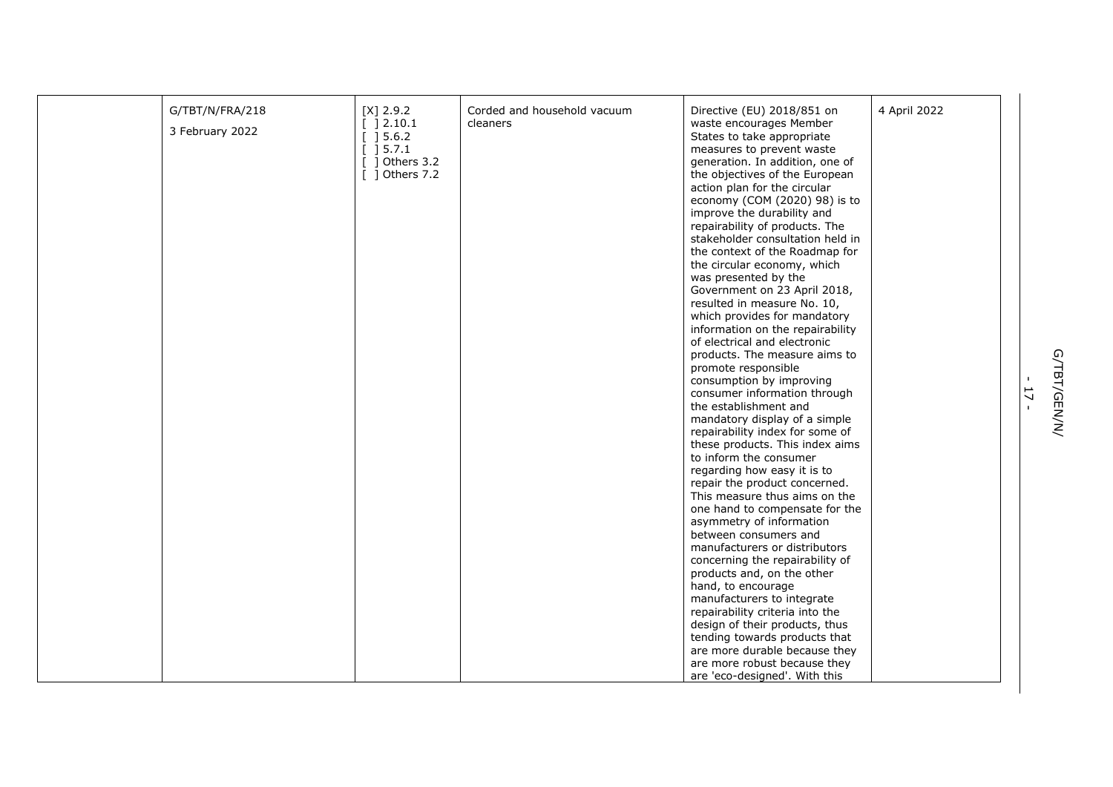| G/TBT/N/FRA/218 | $[X]$ 2.9.2      | Corded and household vacuum | Directive (EU) 2018/851 on       | 4 April 2022 |
|-----------------|------------------|-----------------------------|----------------------------------|--------------|
|                 | [ ]2.10.1        | cleaners                    | waste encourages Member          |              |
| 3 February 2022 | [ ] 5.6.2]       |                             | States to take appropriate       |              |
|                 | [ ] 5.7.1        |                             | measures to prevent waste        |              |
|                 | $[$ ] Others 3.2 |                             | generation. In addition, one of  |              |
|                 | [ ] Others 7.2   |                             | the objectives of the European   |              |
|                 |                  |                             | action plan for the circular     |              |
|                 |                  |                             | economy (COM (2020) 98) is to    |              |
|                 |                  |                             | improve the durability and       |              |
|                 |                  |                             | repairability of products. The   |              |
|                 |                  |                             | stakeholder consultation held in |              |
|                 |                  |                             | the context of the Roadmap for   |              |
|                 |                  |                             | the circular economy, which      |              |
|                 |                  |                             | was presented by the             |              |
|                 |                  |                             | Government on 23 April 2018,     |              |
|                 |                  |                             | resulted in measure No. 10,      |              |
|                 |                  |                             | which provides for mandatory     |              |
|                 |                  |                             | information on the repairability |              |
|                 |                  |                             | of electrical and electronic     |              |
|                 |                  |                             | products. The measure aims to    |              |
|                 |                  |                             | promote responsible              |              |
|                 |                  |                             | consumption by improving         |              |
|                 |                  |                             | consumer information through     |              |
|                 |                  |                             | the establishment and            |              |
|                 |                  |                             | mandatory display of a simple    |              |
|                 |                  |                             | repairability index for some of  |              |
|                 |                  |                             | these products. This index aims  |              |
|                 |                  |                             | to inform the consumer           |              |
|                 |                  |                             | regarding how easy it is to      |              |
|                 |                  |                             | repair the product concerned.    |              |
|                 |                  |                             | This measure thus aims on the    |              |
|                 |                  |                             | one hand to compensate for the   |              |
|                 |                  |                             | asymmetry of information         |              |
|                 |                  |                             | between consumers and            |              |
|                 |                  |                             | manufacturers or distributors    |              |
|                 |                  |                             | concerning the repairability of  |              |
|                 |                  |                             | products and, on the other       |              |
|                 |                  |                             | hand, to encourage               |              |
|                 |                  |                             | manufacturers to integrate       |              |
|                 |                  |                             | repairability criteria into the  |              |
|                 |                  |                             | design of their products, thus   |              |
|                 |                  |                             | tending towards products that    |              |
|                 |                  |                             | are more durable because they    |              |
|                 |                  |                             | are more robust because they     |              |
|                 |                  |                             | are 'eco-designed'. With this    |              |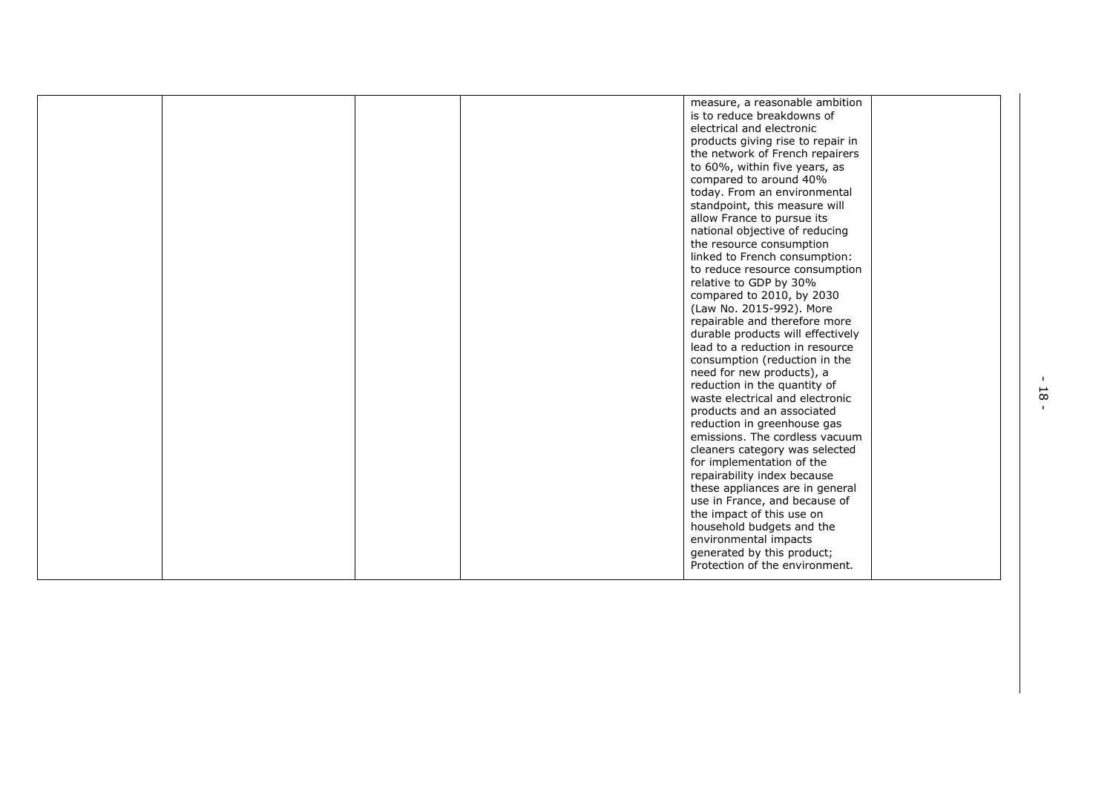|  | measure, a reasonable ambition                                   |
|--|------------------------------------------------------------------|
|  | is to reduce breakdowns of                                       |
|  | electrical and electronic                                        |
|  | products giving rise to repair in                                |
|  | the network of French repairers                                  |
|  | to 60%, within five years, as                                    |
|  | compared to around 40%                                           |
|  | today. From an environmental                                     |
|  | standpoint, this measure will                                    |
|  | allow France to pursue its                                       |
|  | national objective of reducing                                   |
|  | the resource consumption                                         |
|  | linked to French consumption:                                    |
|  | to reduce resource consumption                                   |
|  | relative to GDP by 30%                                           |
|  | compared to 2010, by 2030                                        |
|  | (Law No. 2015-992). More                                         |
|  | repairable and therefore more                                    |
|  | durable products will effectively                                |
|  | lead to a reduction in resource                                  |
|  | consumption (reduction in the                                    |
|  | need for new products), a                                        |
|  | reduction in the quantity of                                     |
|  | waste electrical and electronic                                  |
|  | products and an associated                                       |
|  | reduction in greenhouse gas                                      |
|  | emissions. The cordless vacuum                                   |
|  | cleaners category was selected                                   |
|  |                                                                  |
|  | for implementation of the                                        |
|  | repairability index because                                      |
|  | these appliances are in general<br>use in France, and because of |
|  |                                                                  |
|  | the impact of this use on                                        |
|  | household budgets and the                                        |
|  | environmental impacts                                            |
|  | generated by this product;                                       |
|  | Protection of the environment.                                   |
|  |                                                                  |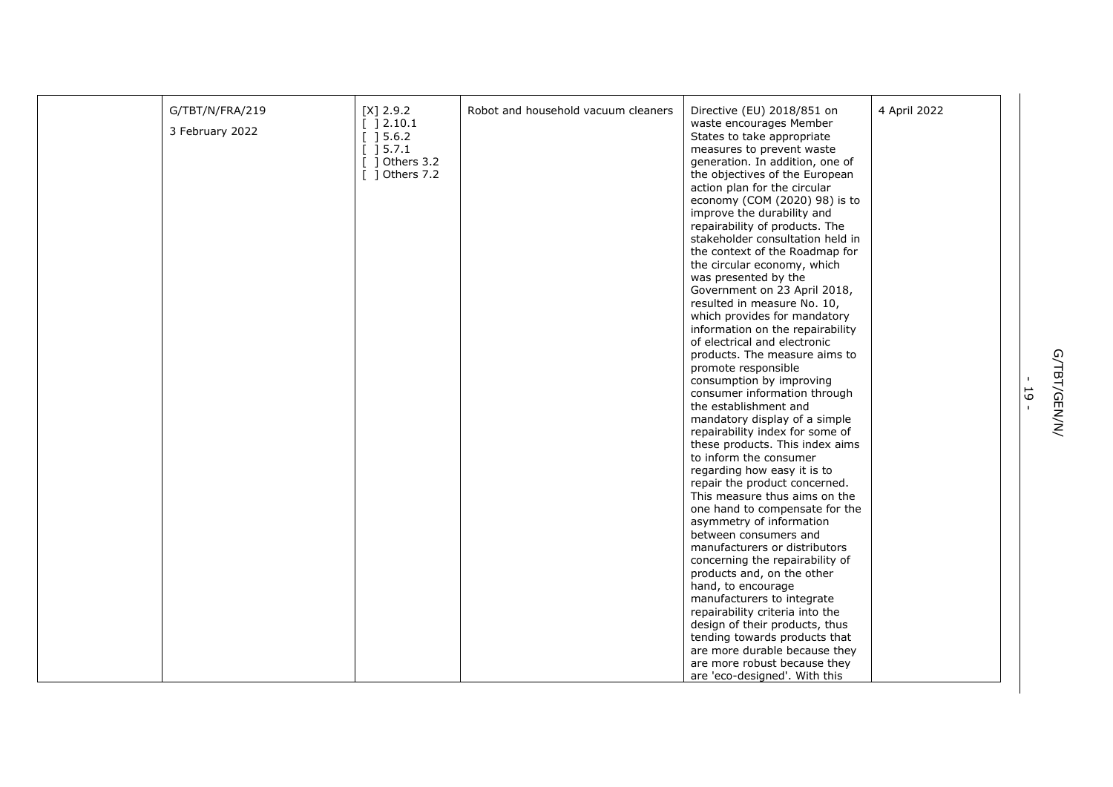| G/TBT/N/FRA/219 | $[X]$ 2.9.2                           | Robot and household vacuum cleaners | Directive (EU) 2018/851 on       | 4 April 2022 |
|-----------------|---------------------------------------|-------------------------------------|----------------------------------|--------------|
|                 | [ ]2.10.1                             |                                     | waste encourages Member          |              |
| 3 February 2022 | $\left[\begin{array}{c}\right]$ 5.6.2 |                                     | States to take appropriate       |              |
|                 | $[]$ 15.7.1                           |                                     | measures to prevent waste        |              |
|                 | 1 Others 3.2                          |                                     | generation. In addition, one of  |              |
|                 | $\lceil$ 1 Others 7.2                 |                                     | the objectives of the European   |              |
|                 |                                       |                                     | action plan for the circular     |              |
|                 |                                       |                                     | economy (COM (2020) 98) is to    |              |
|                 |                                       |                                     | improve the durability and       |              |
|                 |                                       |                                     | repairability of products. The   |              |
|                 |                                       |                                     | stakeholder consultation held in |              |
|                 |                                       |                                     | the context of the Roadmap for   |              |
|                 |                                       |                                     | the circular economy, which      |              |
|                 |                                       |                                     | was presented by the             |              |
|                 |                                       |                                     | Government on 23 April 2018,     |              |
|                 |                                       |                                     |                                  |              |
|                 |                                       |                                     | resulted in measure No. 10,      |              |
|                 |                                       |                                     | which provides for mandatory     |              |
|                 |                                       |                                     | information on the repairability |              |
|                 |                                       |                                     | of electrical and electronic     |              |
|                 |                                       |                                     | products. The measure aims to    |              |
|                 |                                       |                                     | promote responsible              |              |
|                 |                                       |                                     | consumption by improving         |              |
|                 |                                       |                                     | consumer information through     |              |
|                 |                                       |                                     | the establishment and            |              |
|                 |                                       |                                     | mandatory display of a simple    |              |
|                 |                                       |                                     | repairability index for some of  |              |
|                 |                                       |                                     | these products. This index aims  |              |
|                 |                                       |                                     | to inform the consumer           |              |
|                 |                                       |                                     | regarding how easy it is to      |              |
|                 |                                       |                                     | repair the product concerned.    |              |
|                 |                                       |                                     | This measure thus aims on the    |              |
|                 |                                       |                                     | one hand to compensate for the   |              |
|                 |                                       |                                     | asymmetry of information         |              |
|                 |                                       |                                     | between consumers and            |              |
|                 |                                       |                                     | manufacturers or distributors    |              |
|                 |                                       |                                     | concerning the repairability of  |              |
|                 |                                       |                                     | products and, on the other       |              |
|                 |                                       |                                     | hand, to encourage               |              |
|                 |                                       |                                     | manufacturers to integrate       |              |
|                 |                                       |                                     | repairability criteria into the  |              |
|                 |                                       |                                     | design of their products, thus   |              |
|                 |                                       |                                     | tending towards products that    |              |
|                 |                                       |                                     | are more durable because they    |              |
|                 |                                       |                                     | are more robust because they     |              |
|                 |                                       |                                     |                                  |              |
|                 |                                       |                                     | are 'eco-designed'. With this    |              |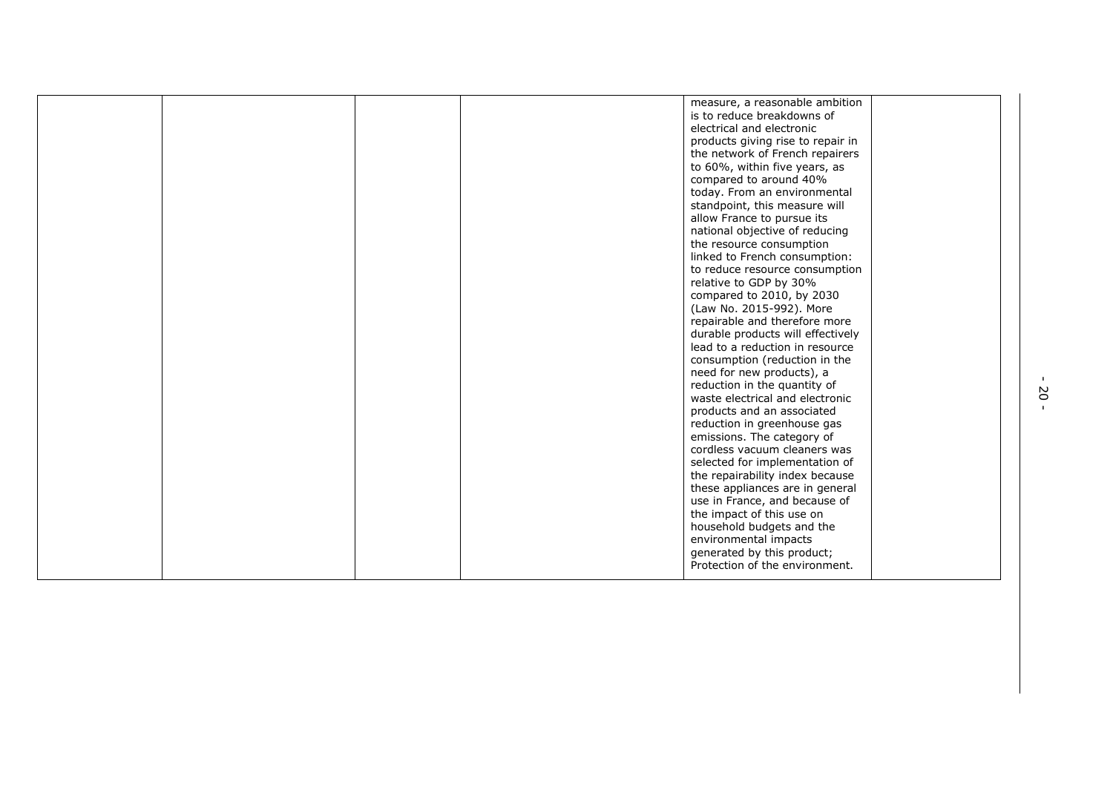|  |  | measure, a reasonable ambition    |  |
|--|--|-----------------------------------|--|
|  |  | is to reduce breakdowns of        |  |
|  |  | electrical and electronic         |  |
|  |  | products giving rise to repair in |  |
|  |  | the network of French repairers   |  |
|  |  | to 60%, within five years, as     |  |
|  |  | compared to around 40%            |  |
|  |  | today. From an environmental      |  |
|  |  | standpoint, this measure will     |  |
|  |  | allow France to pursue its        |  |
|  |  | national objective of reducing    |  |
|  |  | the resource consumption          |  |
|  |  | linked to French consumption:     |  |
|  |  | to reduce resource consumption    |  |
|  |  | relative to GDP by 30%            |  |
|  |  | compared to 2010, by 2030         |  |
|  |  |                                   |  |
|  |  | (Law No. 2015-992). More          |  |
|  |  | repairable and therefore more     |  |
|  |  | durable products will effectively |  |
|  |  | lead to a reduction in resource   |  |
|  |  | consumption (reduction in the     |  |
|  |  | need for new products), a         |  |
|  |  | reduction in the quantity of      |  |
|  |  | waste electrical and electronic   |  |
|  |  | products and an associated        |  |
|  |  | reduction in greenhouse gas       |  |
|  |  | emissions. The category of        |  |
|  |  | cordless vacuum cleaners was      |  |
|  |  | selected for implementation of    |  |
|  |  | the repairability index because   |  |
|  |  | these appliances are in general   |  |
|  |  | use in France, and because of     |  |
|  |  | the impact of this use on         |  |
|  |  | household budgets and the         |  |
|  |  | environmental impacts             |  |
|  |  | generated by this product;        |  |
|  |  | Protection of the environment.    |  |
|  |  |                                   |  |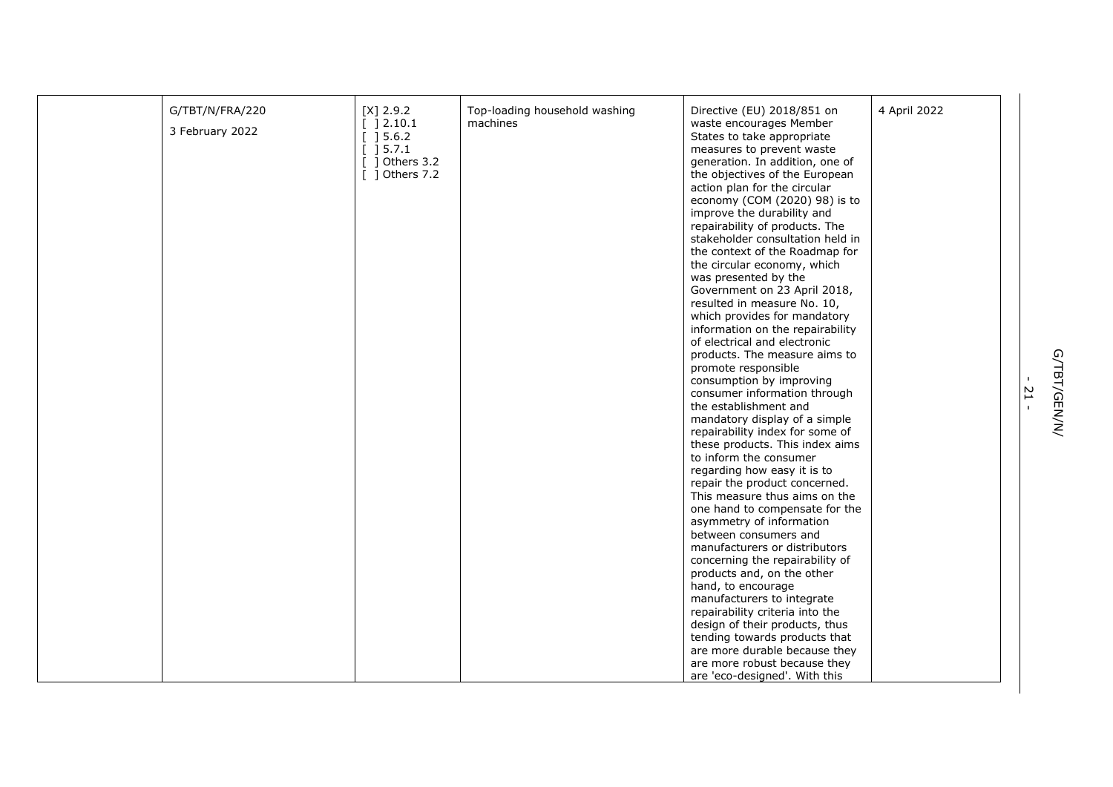| G/TBT/N/FRA/220 | $[X]$ 2.9.2      | Top-loading household washing | Directive (EU) 2018/851 on       | 4 April 2022 |
|-----------------|------------------|-------------------------------|----------------------------------|--------------|
|                 | [ ]2.10.1        | machines                      | waste encourages Member          |              |
| 3 February 2022 | [ ] 5.6.2]       |                               | States to take appropriate       |              |
|                 | $[$ 15.7.1       |                               | measures to prevent waste        |              |
|                 | $[$ ] Others 3.2 |                               | generation. In addition, one of  |              |
|                 | [ ] Others 7.2   |                               | the objectives of the European   |              |
|                 |                  |                               | action plan for the circular     |              |
|                 |                  |                               | economy (COM (2020) 98) is to    |              |
|                 |                  |                               | improve the durability and       |              |
|                 |                  |                               | repairability of products. The   |              |
|                 |                  |                               | stakeholder consultation held in |              |
|                 |                  |                               | the context of the Roadmap for   |              |
|                 |                  |                               | the circular economy, which      |              |
|                 |                  |                               | was presented by the             |              |
|                 |                  |                               | Government on 23 April 2018,     |              |
|                 |                  |                               | resulted in measure No. 10,      |              |
|                 |                  |                               | which provides for mandatory     |              |
|                 |                  |                               | information on the repairability |              |
|                 |                  |                               | of electrical and electronic     |              |
|                 |                  |                               | products. The measure aims to    |              |
|                 |                  |                               | promote responsible              |              |
|                 |                  |                               | consumption by improving         |              |
|                 |                  |                               | consumer information through     |              |
|                 |                  |                               | the establishment and            |              |
|                 |                  |                               | mandatory display of a simple    |              |
|                 |                  |                               | repairability index for some of  |              |
|                 |                  |                               | these products. This index aims  |              |
|                 |                  |                               | to inform the consumer           |              |
|                 |                  |                               | regarding how easy it is to      |              |
|                 |                  |                               | repair the product concerned.    |              |
|                 |                  |                               | This measure thus aims on the    |              |
|                 |                  |                               | one hand to compensate for the   |              |
|                 |                  |                               | asymmetry of information         |              |
|                 |                  |                               | between consumers and            |              |
|                 |                  |                               | manufacturers or distributors    |              |
|                 |                  |                               | concerning the repairability of  |              |
|                 |                  |                               | products and, on the other       |              |
|                 |                  |                               | hand, to encourage               |              |
|                 |                  |                               | manufacturers to integrate       |              |
|                 |                  |                               | repairability criteria into the  |              |
|                 |                  |                               | design of their products, thus   |              |
|                 |                  |                               | tending towards products that    |              |
|                 |                  |                               | are more durable because they    |              |
|                 |                  |                               | are more robust because they     |              |
|                 |                  |                               | are 'eco-designed'. With this    |              |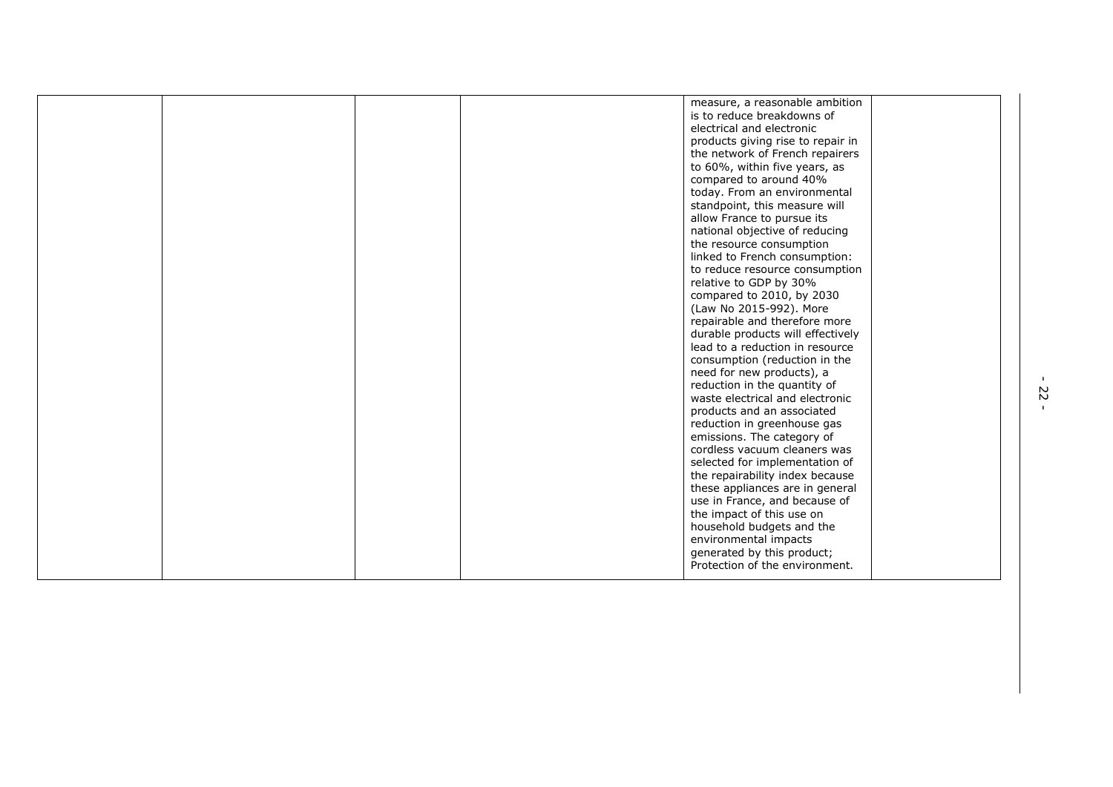|  | measure, a reasonable ambition    |
|--|-----------------------------------|
|  | is to reduce breakdowns of        |
|  | electrical and electronic         |
|  | products giving rise to repair in |
|  | the network of French repairers   |
|  | to 60%, within five years, as     |
|  | compared to around 40%            |
|  | today. From an environmental      |
|  | standpoint, this measure will     |
|  | allow France to pursue its        |
|  | national objective of reducing    |
|  | the resource consumption          |
|  | linked to French consumption:     |
|  | to reduce resource consumption    |
|  | relative to GDP by 30%            |
|  | compared to 2010, by 2030         |
|  | (Law No 2015-992). More           |
|  | repairable and therefore more     |
|  | durable products will effectively |
|  | lead to a reduction in resource   |
|  | consumption (reduction in the     |
|  | need for new products), a         |
|  | reduction in the quantity of      |
|  | waste electrical and electronic   |
|  | products and an associated        |
|  | reduction in greenhouse gas       |
|  | emissions. The category of        |
|  | cordless vacuum cleaners was      |
|  | selected for implementation of    |
|  | the repairability index because   |
|  | these appliances are in general   |
|  | use in France, and because of     |
|  | the impact of this use on         |
|  | household budgets and the         |
|  | environmental impacts             |
|  | generated by this product;        |
|  | Protection of the environment.    |
|  |                                   |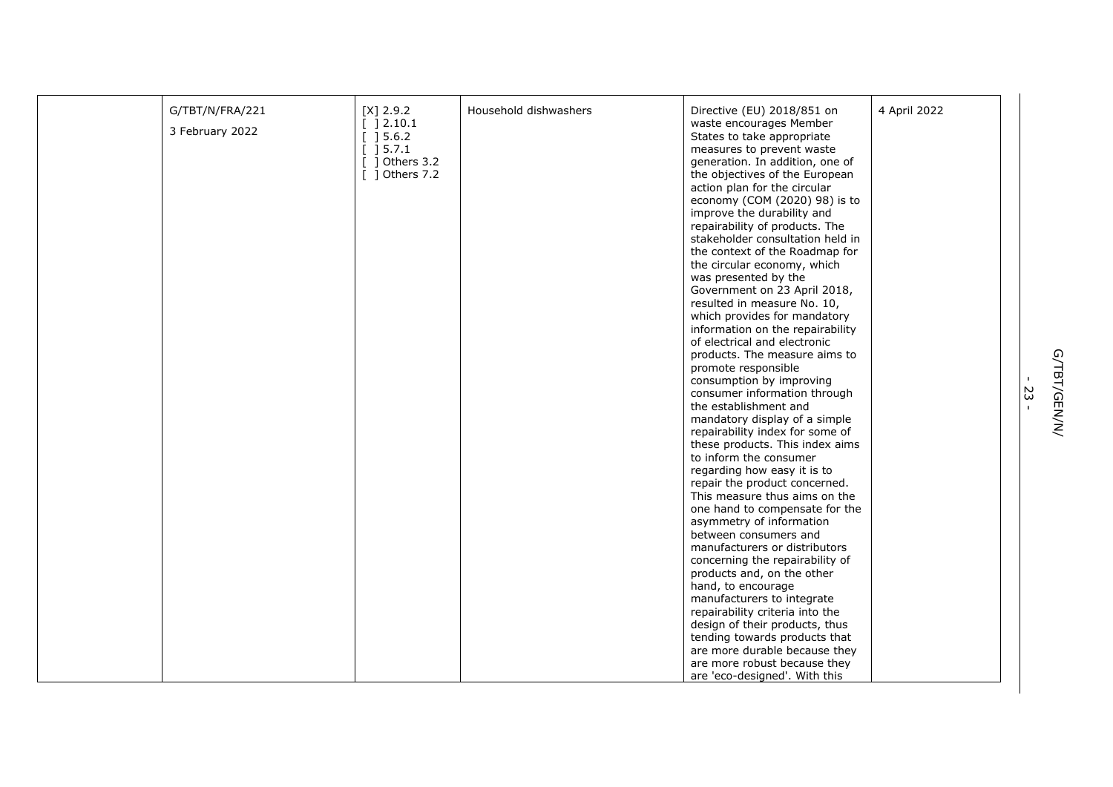| G/TBT/N/FRA/221 | $[X]$ 2.9.2                                   | Household dishwashers | Directive (EU) 2018/851 on                                  | 4 April 2022 |
|-----------------|-----------------------------------------------|-----------------------|-------------------------------------------------------------|--------------|
|                 | $[ ] 2.10.1$                                  |                       | waste encourages Member                                     |              |
| 3 February 2022 | [ ] 5.6.2]                                    |                       | States to take appropriate                                  |              |
|                 | $\begin{bmatrix} 1 & 5 & 7 & 1 \end{bmatrix}$ |                       | measures to prevent waste                                   |              |
|                 | $[$ ] Others 3.2                              |                       | generation. In addition, one of                             |              |
|                 | $[$ ] Others 7.2                              |                       | the objectives of the European                              |              |
|                 |                                               |                       | action plan for the circular                                |              |
|                 |                                               |                       | economy (COM (2020) 98) is to                               |              |
|                 |                                               |                       | improve the durability and                                  |              |
|                 |                                               |                       | repairability of products. The                              |              |
|                 |                                               |                       | stakeholder consultation held in                            |              |
|                 |                                               |                       | the context of the Roadmap for                              |              |
|                 |                                               |                       | the circular economy, which                                 |              |
|                 |                                               |                       |                                                             |              |
|                 |                                               |                       | was presented by the                                        |              |
|                 |                                               |                       | Government on 23 April 2018,<br>resulted in measure No. 10, |              |
|                 |                                               |                       |                                                             |              |
|                 |                                               |                       | which provides for mandatory                                |              |
|                 |                                               |                       | information on the repairability                            |              |
|                 |                                               |                       | of electrical and electronic                                |              |
|                 |                                               |                       | products. The measure aims to                               |              |
|                 |                                               |                       | promote responsible                                         |              |
|                 |                                               |                       | consumption by improving                                    |              |
|                 |                                               |                       | consumer information through                                |              |
|                 |                                               |                       | the establishment and                                       |              |
|                 |                                               |                       | mandatory display of a simple                               |              |
|                 |                                               |                       | repairability index for some of                             |              |
|                 |                                               |                       | these products. This index aims                             |              |
|                 |                                               |                       | to inform the consumer                                      |              |
|                 |                                               |                       | regarding how easy it is to                                 |              |
|                 |                                               |                       | repair the product concerned.                               |              |
|                 |                                               |                       | This measure thus aims on the                               |              |
|                 |                                               |                       | one hand to compensate for the                              |              |
|                 |                                               |                       | asymmetry of information                                    |              |
|                 |                                               |                       | between consumers and                                       |              |
|                 |                                               |                       | manufacturers or distributors                               |              |
|                 |                                               |                       | concerning the repairability of                             |              |
|                 |                                               |                       | products and, on the other                                  |              |
|                 |                                               |                       | hand, to encourage                                          |              |
|                 |                                               |                       | manufacturers to integrate                                  |              |
|                 |                                               |                       | repairability criteria into the                             |              |
|                 |                                               |                       | design of their products, thus                              |              |
|                 |                                               |                       | tending towards products that                               |              |
|                 |                                               |                       | are more durable because they                               |              |
|                 |                                               |                       | are more robust because they                                |              |
|                 |                                               |                       | are 'eco-designed'. With this                               |              |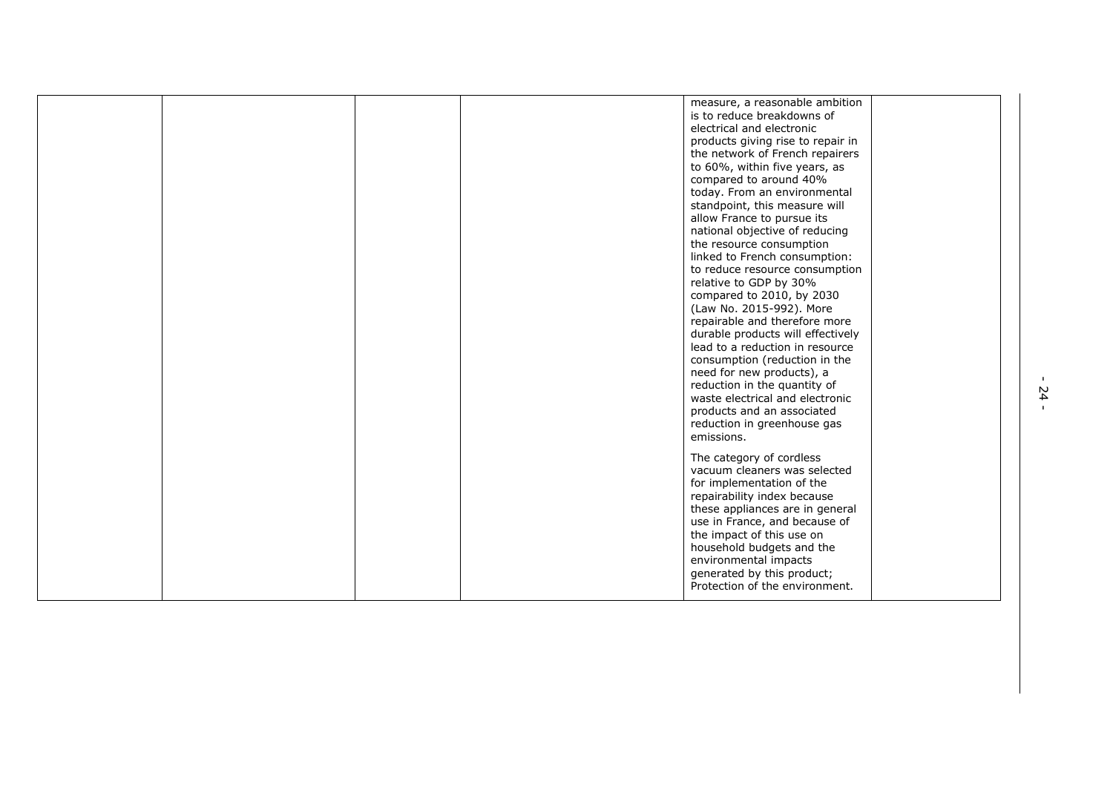| is to reduce breakdowns of<br>electrical and electronic<br>products giving rise to repair in<br>the network of French repairers<br>to 60%, within five years, as<br>compared to around 40%<br>today. From an environmental<br>standpoint, this measure will<br>allow France to pursue its<br>national objective of reducing<br>the resource consumption<br>linked to French consumption:<br>to reduce resource consumption<br>relative to GDP by 30%<br>compared to 2010, by 2030<br>(Law No. 2015-992). More<br>repairable and therefore more<br>durable products will effectively<br>lead to a reduction in resource<br>consumption (reduction in the<br>need for new products), a<br>reduction in the quantity of<br>waste electrical and electronic<br>products and an associated<br>reduction in greenhouse gas<br>emissions.<br>The category of cordless<br>vacuum cleaners was selected<br>for implementation of the<br>repairability index because<br>these appliances are in general<br>use in France, and because of<br>the impact of this use on<br>household budgets and the<br>environmental impacts<br>generated by this product; |  |  |                                |  |
|-------------------------------------------------------------------------------------------------------------------------------------------------------------------------------------------------------------------------------------------------------------------------------------------------------------------------------------------------------------------------------------------------------------------------------------------------------------------------------------------------------------------------------------------------------------------------------------------------------------------------------------------------------------------------------------------------------------------------------------------------------------------------------------------------------------------------------------------------------------------------------------------------------------------------------------------------------------------------------------------------------------------------------------------------------------------------------------------------------------------------------------------------|--|--|--------------------------------|--|
|                                                                                                                                                                                                                                                                                                                                                                                                                                                                                                                                                                                                                                                                                                                                                                                                                                                                                                                                                                                                                                                                                                                                                 |  |  | measure, a reasonable ambition |  |
|                                                                                                                                                                                                                                                                                                                                                                                                                                                                                                                                                                                                                                                                                                                                                                                                                                                                                                                                                                                                                                                                                                                                                 |  |  | Protection of the environment. |  |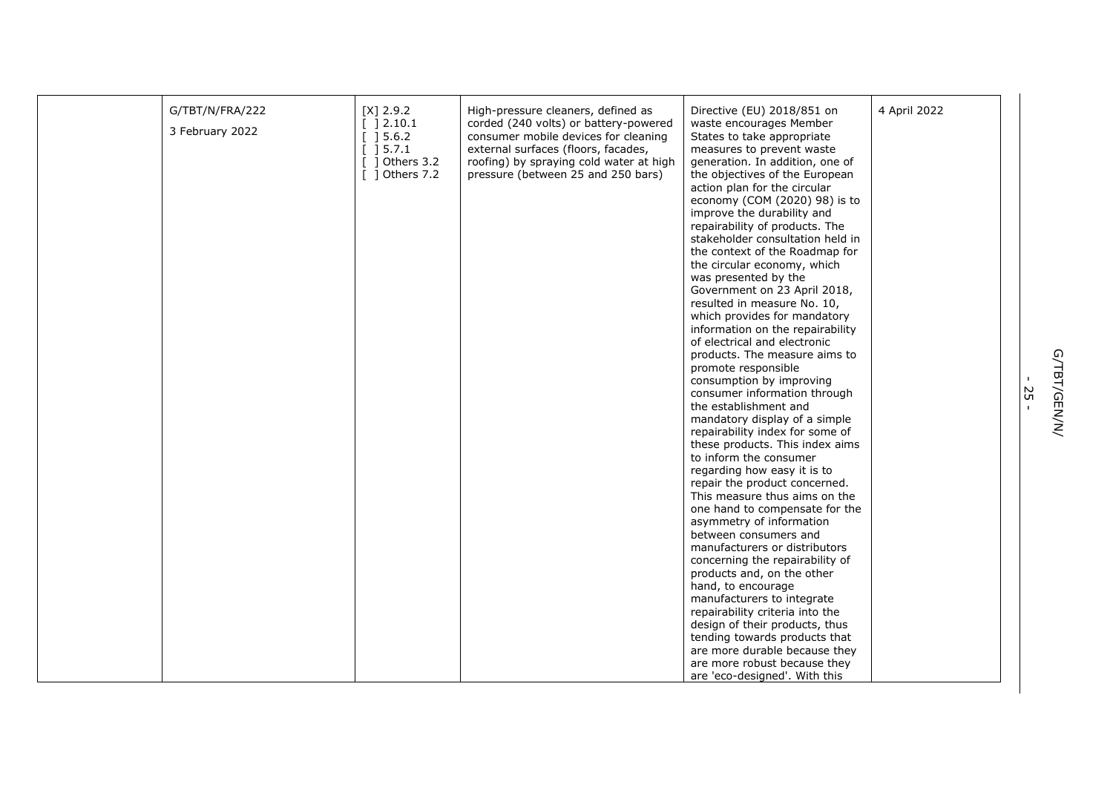| G/TBT/N/FRA/222 | $[X]$ 2.9.2                                       | High-pressure cleaners, defined as      | Directive (EU) 2018/851 on                                     | 4 April 2022 |
|-----------------|---------------------------------------------------|-----------------------------------------|----------------------------------------------------------------|--------------|
| 3 February 2022 | [ ] 2.10.1                                        | corded (240 volts) or battery-powered   | waste encourages Member                                        |              |
|                 | $\left[\begin{array}{c}\right]$ 5.6.2             | consumer mobile devices for cleaning    | States to take appropriate                                     |              |
|                 | $\left[\begin{array}{c}1\end{array}\right]$ 5.7.1 | external surfaces (floors, facades,     | measures to prevent waste                                      |              |
|                 | $\lceil$ 1 Others 3.2                             | roofing) by spraying cold water at high | generation. In addition, one of                                |              |
|                 | $\lceil$ 1 Others 7.2                             | pressure (between 25 and 250 bars)      | the objectives of the European                                 |              |
|                 |                                                   |                                         | action plan for the circular                                   |              |
|                 |                                                   |                                         | economy (COM (2020) 98) is to<br>improve the durability and    |              |
|                 |                                                   |                                         | repairability of products. The                                 |              |
|                 |                                                   |                                         | stakeholder consultation held in                               |              |
|                 |                                                   |                                         | the context of the Roadmap for                                 |              |
|                 |                                                   |                                         | the circular economy, which                                    |              |
|                 |                                                   |                                         | was presented by the                                           |              |
|                 |                                                   |                                         | Government on 23 April 2018,                                   |              |
|                 |                                                   |                                         | resulted in measure No. 10,                                    |              |
|                 |                                                   |                                         | which provides for mandatory                                   |              |
|                 |                                                   |                                         | information on the repairability                               |              |
|                 |                                                   |                                         | of electrical and electronic                                   |              |
|                 |                                                   |                                         | products. The measure aims to                                  |              |
|                 |                                                   |                                         | promote responsible                                            |              |
|                 |                                                   |                                         | consumption by improving                                       |              |
|                 |                                                   |                                         | consumer information through                                   |              |
|                 |                                                   |                                         | the establishment and                                          |              |
|                 |                                                   |                                         | mandatory display of a simple                                  |              |
|                 |                                                   |                                         | repairability index for some of                                |              |
|                 |                                                   |                                         | these products. This index aims                                |              |
|                 |                                                   |                                         | to inform the consumer                                         |              |
|                 |                                                   |                                         | regarding how easy it is to                                    |              |
|                 |                                                   |                                         | repair the product concerned.<br>This measure thus aims on the |              |
|                 |                                                   |                                         | one hand to compensate for the                                 |              |
|                 |                                                   |                                         | asymmetry of information                                       |              |
|                 |                                                   |                                         | between consumers and                                          |              |
|                 |                                                   |                                         | manufacturers or distributors                                  |              |
|                 |                                                   |                                         | concerning the repairability of                                |              |
|                 |                                                   |                                         | products and, on the other                                     |              |
|                 |                                                   |                                         | hand, to encourage                                             |              |
|                 |                                                   |                                         | manufacturers to integrate                                     |              |
|                 |                                                   |                                         | repairability criteria into the                                |              |
|                 |                                                   |                                         | design of their products, thus                                 |              |
|                 |                                                   |                                         | tending towards products that                                  |              |
|                 |                                                   |                                         | are more durable because they                                  |              |
|                 |                                                   |                                         | are more robust because they                                   |              |
|                 |                                                   |                                         | are 'eco-designed'. With this                                  |              |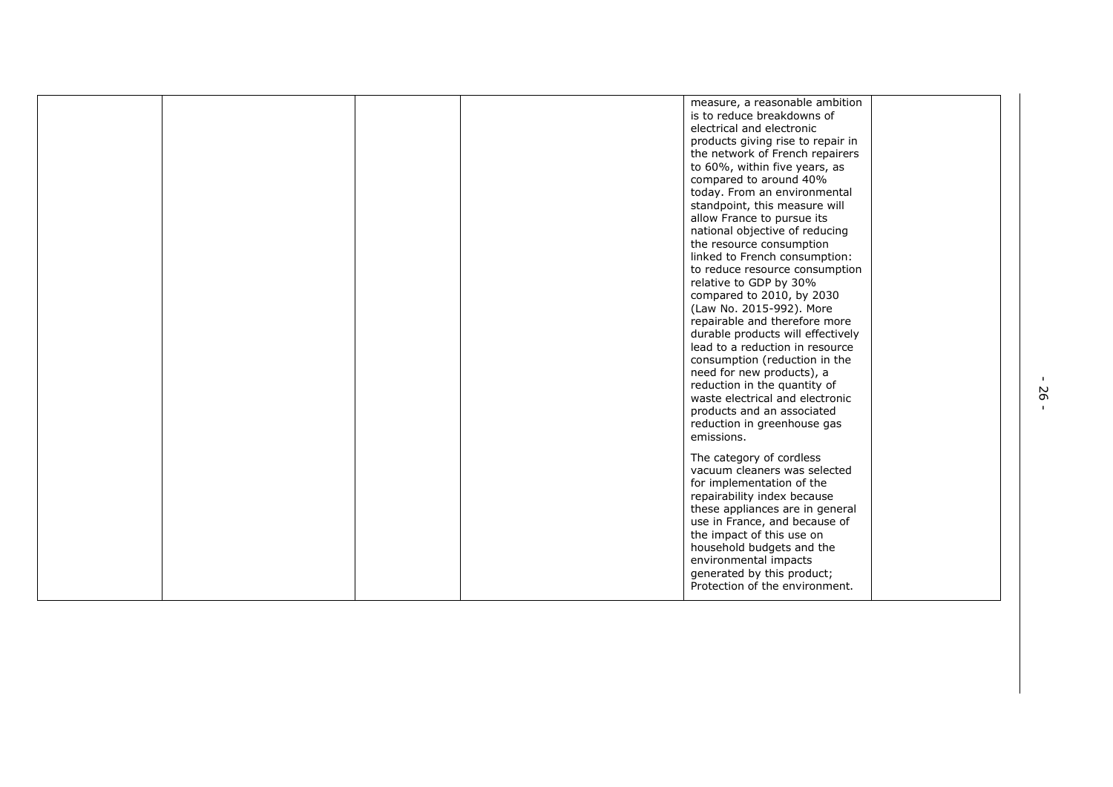|  |  | measure, a reasonable ambition<br>is to reduce breakdowns of<br>electrical and electronic<br>products giving rise to repair in<br>the network of French repairers<br>to 60%, within five years, as<br>compared to around 40%<br>today. From an environmental<br>standpoint, this measure will<br>allow France to pursue its<br>national objective of reducing<br>the resource consumption<br>linked to French consumption:<br>to reduce resource consumption<br>relative to GDP by 30%<br>compared to 2010, by 2030<br>(Law No. 2015-992). More<br>repairable and therefore more<br>durable products will effectively<br>lead to a reduction in resource<br>consumption (reduction in the<br>need for new products), a<br>reduction in the quantity of<br>waste electrical and electronic<br>products and an associated<br>reduction in greenhouse gas<br>emissions. |
|--|--|----------------------------------------------------------------------------------------------------------------------------------------------------------------------------------------------------------------------------------------------------------------------------------------------------------------------------------------------------------------------------------------------------------------------------------------------------------------------------------------------------------------------------------------------------------------------------------------------------------------------------------------------------------------------------------------------------------------------------------------------------------------------------------------------------------------------------------------------------------------------|
|  |  | The category of cordless<br>vacuum cleaners was selected<br>for implementation of the<br>repairability index because<br>these appliances are in general<br>use in France, and because of<br>the impact of this use on<br>household budgets and the<br>environmental impacts<br>generated by this product;<br>Protection of the environment.                                                                                                                                                                                                                                                                                                                                                                                                                                                                                                                          |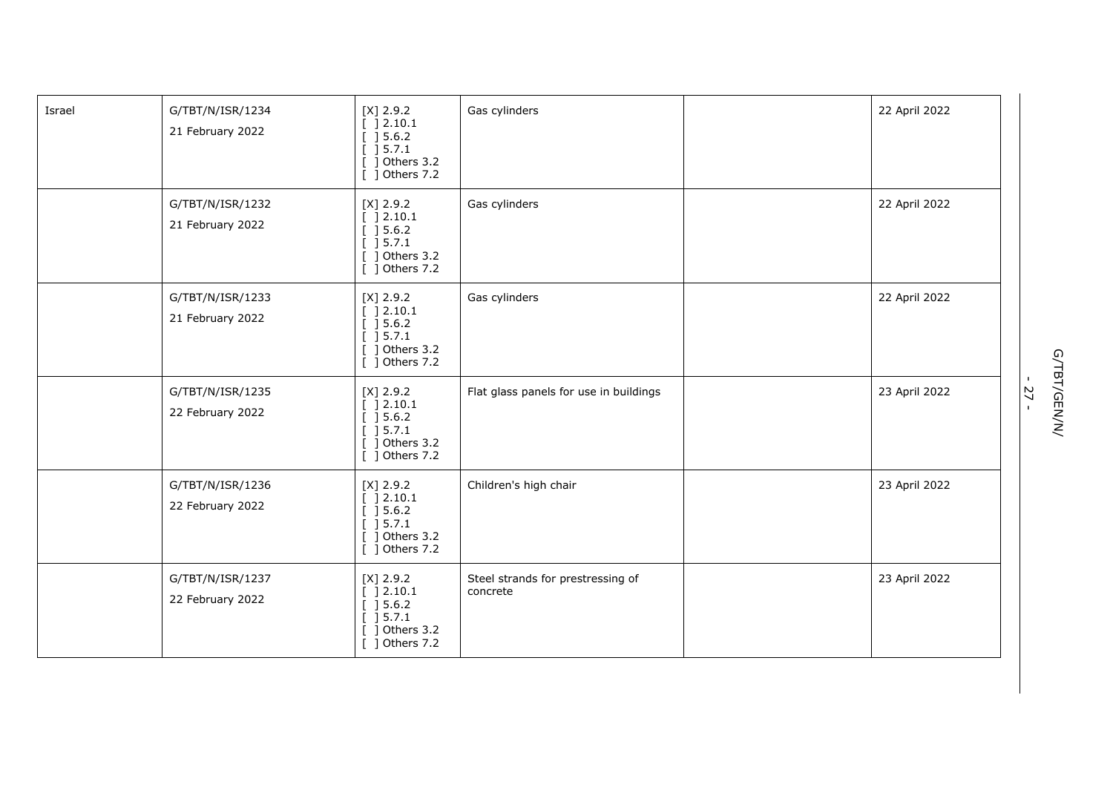| Israel | G/TBT/N/ISR/1234<br>21 February 2022 | $[X]$ 2.9.2<br>[ ] 2.10.1<br>[ ] 5.6.2]<br>[ ] 5.7.1<br>$[$ ] Others 3.2<br>[ ] Others 7.2 | Gas cylinders                                 | 22 April 2022 |
|--------|--------------------------------------|--------------------------------------------------------------------------------------------|-----------------------------------------------|---------------|
|        | G/TBT/N/ISR/1232<br>21 February 2022 | $[X]$ 2.9.2<br>[ ] 2.10.1<br>[ ] 5.6.2]<br>[ ] 5.7.1<br>$[$ ] Others 3.2<br>[ ] Others 7.2 | Gas cylinders                                 | 22 April 2022 |
|        | G/TBT/N/ISR/1233<br>21 February 2022 | $[X]$ 2.9.2<br>[ ] 2.10.1<br>[ ] 5.6.2]<br>[ ] 5.7.1<br>$[$ ] Others 3.2<br>[ ] Others 7.2 | Gas cylinders                                 | 22 April 2022 |
|        | G/TBT/N/ISR/1235<br>22 February 2022 | $[X]$ 2.9.2<br>[ ] 2.10.1<br>[ ] 5.6.2]<br>[ ] 5.7.1<br>$[$ ] Others 3.2<br>[ ] Others 7.2 | Flat glass panels for use in buildings        | 23 April 2022 |
|        | G/TBT/N/ISR/1236<br>22 February 2022 | $[X]$ 2.9.2<br>[ ] 2.10.1<br>[ ] 5.6.2]<br>[ ] 5.7.1<br>$[$ ] Others 3.2<br>[ ] Others 7.2 | Children's high chair                         | 23 April 2022 |
|        | G/TBT/N/ISR/1237<br>22 February 2022 | $[X]$ 2.9.2<br>[ ]2.10.1<br>[ ] 5.6.2]<br>[ ] 5.7.1<br>$[$ ] Others 3.2<br>[ ] Others 7.2  | Steel strands for prestressing of<br>concrete | 23 April 2022 |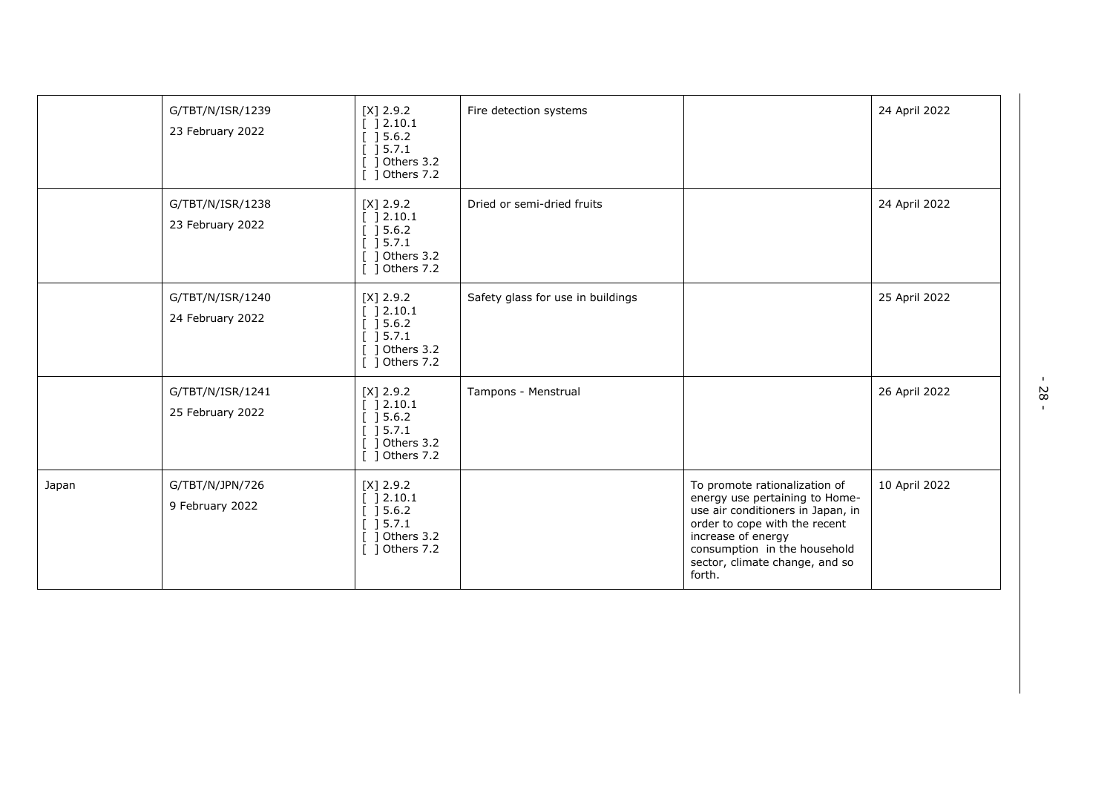|       | G/TBT/N/ISR/1239<br>23 February 2022 | $[X]$ 2.9.2<br>[ ] 2.10.1<br>[ ] 5.6.2]<br>$\left[\begin{array}{c}1\end{array}\right]$ 5.7.1<br>Others 3.2<br>Others 7.2 | Fire detection systems            |                                                                                                                                                                                                                                         | 24 April 2022 |
|-------|--------------------------------------|--------------------------------------------------------------------------------------------------------------------------|-----------------------------------|-----------------------------------------------------------------------------------------------------------------------------------------------------------------------------------------------------------------------------------------|---------------|
|       | G/TBT/N/ISR/1238<br>23 February 2022 | $[X]$ 2.9.2<br>[ ] 2.10.1<br>$[$ ] 5.6.2<br>[ ] 5.7.1<br>[ ] Others 3.2<br>[ ] Others 7.2                                | Dried or semi-dried fruits        |                                                                                                                                                                                                                                         | 24 April 2022 |
|       | G/TBT/N/ISR/1240<br>24 February 2022 | $[X]$ 2.9.2<br>] 2.10.1<br>] 5.6.2<br>] 5.7.1<br>Others 3.2<br>$[$ ] Others 7.2                                          | Safety glass for use in buildings |                                                                                                                                                                                                                                         | 25 April 2022 |
|       | G/TBT/N/ISR/1241<br>25 February 2022 | $[X]$ 2.9.2<br>] 2.10.1<br>] 5.6.2<br>$\begin{bmatrix} 1 & 5 & 7 & 1 \end{bmatrix}$<br>Others 3.2<br>[ ] Others 7.2      | Tampons - Menstrual               |                                                                                                                                                                                                                                         | 26 April 2022 |
| Japan | G/TBT/N/JPN/726<br>9 February 2022   | $[X]$ 2.9.2<br>] 2.10.1<br>] 5.6.2<br>] 5.7.1<br>Others 3.2<br>[ ] Others 7.2                                            |                                   | To promote rationalization of<br>energy use pertaining to Home-<br>use air conditioners in Japan, in<br>order to cope with the recent<br>increase of energy<br>consumption in the household<br>sector, climate change, and so<br>forth. | 10 April 2022 |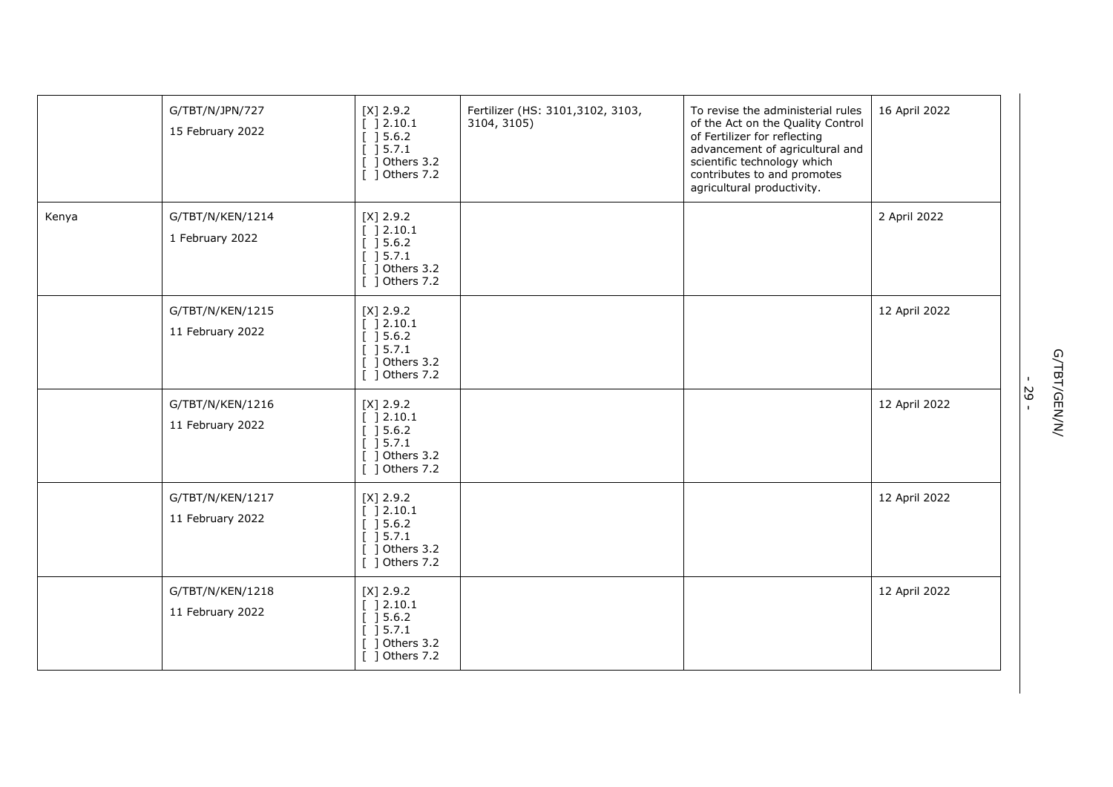|       | G/TBT/N/JPN/727<br>15 February 2022  | $[X]$ 2.9.2<br>[ ] 2.10.1<br>$\left[\begin{array}{c}\right]$ 5.6.2<br>[ ] 5.7.1<br>] Others 3.2<br>[ ] Others 7.2 | Fertilizer (HS: 3101,3102, 3103,<br>3104, 3105) | To revise the administerial rules<br>of the Act on the Quality Control<br>of Fertilizer for reflecting<br>advancement of agricultural and<br>scientific technology which<br>contributes to and promotes<br>agricultural productivity. | 16 April 2022 |
|-------|--------------------------------------|-------------------------------------------------------------------------------------------------------------------|-------------------------------------------------|---------------------------------------------------------------------------------------------------------------------------------------------------------------------------------------------------------------------------------------|---------------|
| Kenya | G/TBT/N/KEN/1214<br>1 February 2022  | $[X]$ 2.9.2<br>[ ] 2.10.1<br>[ ] 5.6.2]<br>[ ] 5.7.1<br>$[$ ] Others 3.2<br>[ ] Others 7.2                        |                                                 |                                                                                                                                                                                                                                       | 2 April 2022  |
|       | G/TBT/N/KEN/1215<br>11 February 2022 | $[X]$ 2.9.2<br>[ ] 2.10.1<br>[ ] 5.6.2]<br>[ ] 5.7.1<br>$[$ ] Others 3.2<br>[ ] Others 7.2                        |                                                 |                                                                                                                                                                                                                                       | 12 April 2022 |
|       | G/TBT/N/KEN/1216<br>11 February 2022 | $[X]$ 2.9.2<br>$[$ ] 2.10.1<br>[ ] 5.6.2]<br>$[$ ] 5.7.1<br>$[$ ] Others 3.2<br>[ ] Others 7.2                    |                                                 |                                                                                                                                                                                                                                       | 12 April 2022 |
|       | G/TBT/N/KEN/1217<br>11 February 2022 | $[X]$ 2.9.2<br>[ ] 2.10.1<br>[ ] 5.6.2]<br>[ ] 5.7.1<br>$[$ ] Others 3.2<br>$\overline{[}$ ] Others 7.2           |                                                 |                                                                                                                                                                                                                                       | 12 April 2022 |
|       | G/TBT/N/KEN/1218<br>11 February 2022 | $[X]$ 2.9.2<br>[ ] 2.10.1<br>[ ] 5.6.2]<br>[ ] 5.7.1<br>] Others 3.2<br>[ ] Others 7.2                            |                                                 |                                                                                                                                                                                                                                       | 12 April 2022 |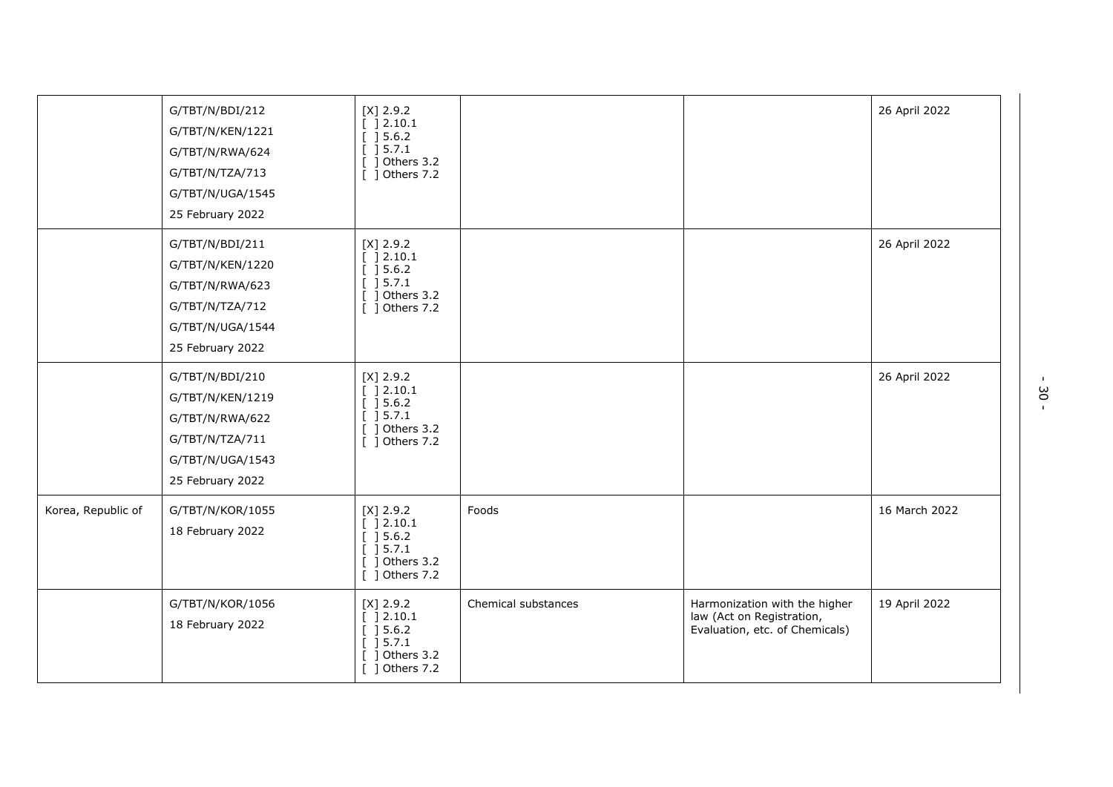|                    | G/TBT/N/BDI/212<br>G/TBT/N/KEN/1221<br>G/TBT/N/RWA/624<br>G/TBT/N/TZA/713<br>G/TBT/N/UGA/1545<br>25 February 2022 | $[X]$ 2.9.2<br>[ ] 2.10.1<br>$[] 5.6.2$<br>] 5.7.1<br>1 Others 3.2<br>$[$ ] Others 7.2                                                    |                     |                                                                                              | 26 April 2022 |
|--------------------|-------------------------------------------------------------------------------------------------------------------|-------------------------------------------------------------------------------------------------------------------------------------------|---------------------|----------------------------------------------------------------------------------------------|---------------|
|                    | G/TBT/N/BDI/211<br>G/TBT/N/KEN/1220<br>G/TBT/N/RWA/623<br>G/TBT/N/TZA/712<br>G/TBT/N/UGA/1544<br>25 February 2022 | $[X]$ 2.9.2<br>[ ] 2.10.1<br>[ ] 5.6.2]<br>$[ ] 5.7.1$<br>$[$ ] Others 3.2<br>$[$ ] Others 7.2                                            |                     |                                                                                              | 26 April 2022 |
|                    | G/TBT/N/BDI/210<br>G/TBT/N/KEN/1219<br>G/TBT/N/RWA/622<br>G/TBT/N/TZA/711<br>G/TBT/N/UGA/1543<br>25 February 2022 | $[X]$ 2.9.2<br>[ ] 2.10.1<br>] 5.6.2<br>] 5.7.1<br>] Others 3.2<br>$[$ ] Others 7.2                                                       |                     |                                                                                              | 26 April 2022 |
| Korea, Republic of | G/TBT/N/KOR/1055<br>18 February 2022                                                                              | $[X]$ 2.9.2<br>[ ] 2.10.1<br>$[] 5.6.2$<br>$\left[\begin{array}{cc} 1 & 5.7.1 \end{array}\right]$<br>$[$ ] Others 3.2<br>$[$ ] Others 7.2 | Foods               |                                                                                              | 16 March 2022 |
|                    | G/TBT/N/KOR/1056<br>18 February 2022                                                                              | $[X]$ 2.9.2<br>[ ] 2.10.1<br>] 5.6.2<br>] 5.7.1<br>Others 3.2<br>$[$ ] Others 7.2                                                         | Chemical substances | Harmonization with the higher<br>law (Act on Registration,<br>Evaluation, etc. of Chemicals) | 19 April 2022 |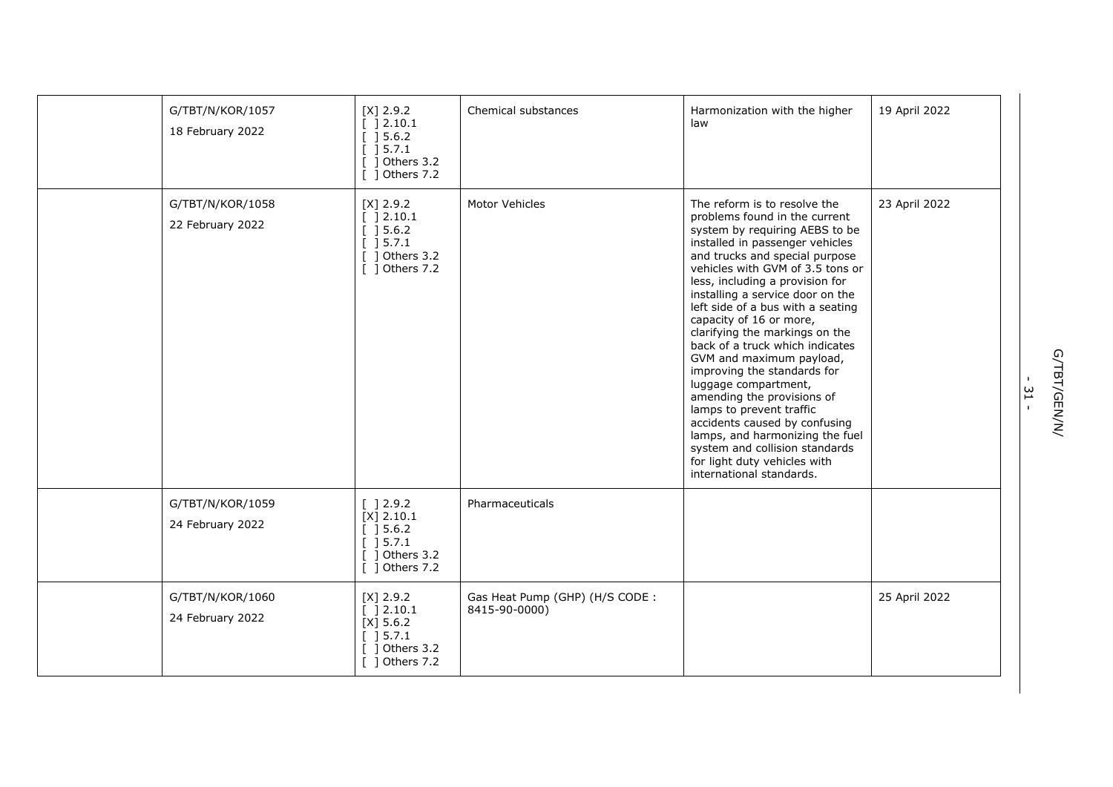| G/TBT/N/KOR/1057<br>18 February 2022 | $[X]$ 2.9.2<br>[ ] 2.10.1<br>[ ] 5.6.2]<br>] 5.7.1<br>] Others 3.2<br>[ ] Others 7.2     | Chemical substances                             | Harmonization with the higher<br>law                                                                                                                                                                                                                                                                                                                                                                                                                                                                                                                                                                                                                                                                                                | 19 April 2022 |
|--------------------------------------|------------------------------------------------------------------------------------------|-------------------------------------------------|-------------------------------------------------------------------------------------------------------------------------------------------------------------------------------------------------------------------------------------------------------------------------------------------------------------------------------------------------------------------------------------------------------------------------------------------------------------------------------------------------------------------------------------------------------------------------------------------------------------------------------------------------------------------------------------------------------------------------------------|---------------|
| G/TBT/N/KOR/1058<br>22 February 2022 | $[X]$ 2.9.2<br>[ ] 2.10.1<br>[ ] 5.6.2]<br>] 5.7.1<br>$[$ ] Others 3.2<br>[ ] Others 7.2 | Motor Vehicles                                  | The reform is to resolve the<br>problems found in the current<br>system by requiring AEBS to be<br>installed in passenger vehicles<br>and trucks and special purpose<br>vehicles with GVM of 3.5 tons or<br>less, including a provision for<br>installing a service door on the<br>left side of a bus with a seating<br>capacity of 16 or more,<br>clarifying the markings on the<br>back of a truck which indicates<br>GVM and maximum payload,<br>improving the standards for<br>luggage compartment,<br>amending the provisions of<br>lamps to prevent traffic<br>accidents caused by confusing<br>lamps, and harmonizing the fuel<br>system and collision standards<br>for light duty vehicles with<br>international standards. | 23 April 2022 |
| G/TBT/N/KOR/1059<br>24 February 2022 | [ ] 2.9.2<br>$[X]$ 2.10.1<br>] 5.6.2<br>[ ] 5.7.1<br>1 Others 3.2<br>] Others 7.2        | Pharmaceuticals                                 |                                                                                                                                                                                                                                                                                                                                                                                                                                                                                                                                                                                                                                                                                                                                     |               |
| G/TBT/N/KOR/1060<br>24 February 2022 | $[X]$ 2.9.2<br>[ ] 2.10.1<br>$[X]$ 5.6.2<br>[ ] 5.7.1<br>1 Others 3.2<br>[ ] Others 7.2  | Gas Heat Pump (GHP) (H/S CODE:<br>8415-90-0000) |                                                                                                                                                                                                                                                                                                                                                                                                                                                                                                                                                                                                                                                                                                                                     | 25 April 2022 |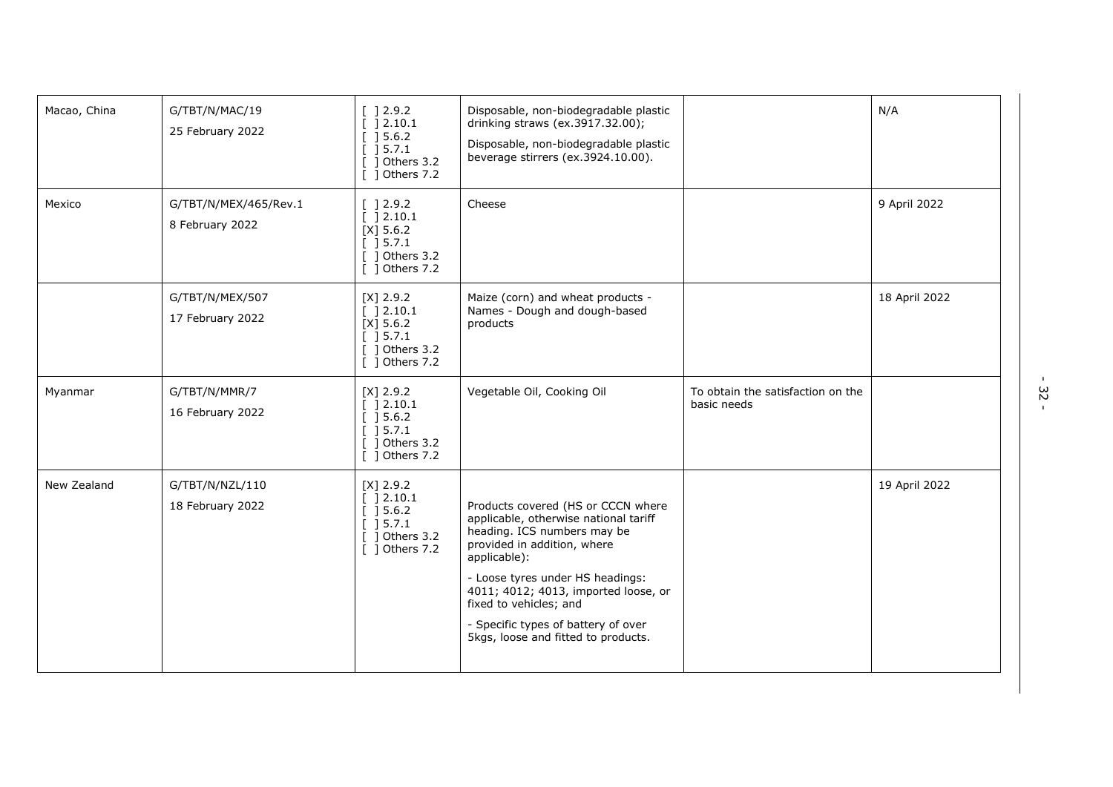| Macao, China | G/TBT/N/MAC/19<br>25 February 2022       | [ ] 2.9.2<br>[ ] 2.10.1<br>[ ] 5.6.2]<br>[ ] 5.7.1<br>$\lceil$ 1 Others 3.2<br>[ ] Others 7.2                                       | Disposable, non-biodegradable plastic<br>drinking straws (ex.3917.32.00);<br>Disposable, non-biodegradable plastic<br>beverage stirrers (ex.3924.10.00).                                                                                                                                                                                      |                                                  | N/A           |
|--------------|------------------------------------------|-------------------------------------------------------------------------------------------------------------------------------------|-----------------------------------------------------------------------------------------------------------------------------------------------------------------------------------------------------------------------------------------------------------------------------------------------------------------------------------------------|--------------------------------------------------|---------------|
| Mexico       | G/TBT/N/MEX/465/Rev.1<br>8 February 2022 | $\begin{bmatrix} 1 & 2 & 9 & 2 \end{bmatrix}$<br>[ ] 2.10.1<br>$[X]$ 5.6.2<br>$[$ 15.7.1<br>$\lceil$ 1 Others 3.2<br>[ ] Others 7.2 | Cheese                                                                                                                                                                                                                                                                                                                                        |                                                  | 9 April 2022  |
|              | G/TBT/N/MEX/507<br>17 February 2022      | $[X]$ 2.9.2<br>[ ] 2.10.1<br>$[X]$ 5.6.2<br>[ ] 5.7.1<br>$[$ ] Others 3.2<br>[ ] Others 7.2                                         | Maize (corn) and wheat products -<br>Names - Dough and dough-based<br>products                                                                                                                                                                                                                                                                |                                                  | 18 April 2022 |
| Myanmar      | G/TBT/N/MMR/7<br>16 February 2022        | $[X]$ 2.9.2<br>[ ]2.10.1<br>[ ] 5.6.2]<br>[ ] 5.7.1<br>$\lceil$ 1 Others 3.2<br>[ ] Others 7.2                                      | Vegetable Oil, Cooking Oil                                                                                                                                                                                                                                                                                                                    | To obtain the satisfaction on the<br>basic needs |               |
| New Zealand  | G/TBT/N/NZL/110<br>18 February 2022      | $[X]$ 2.9.2<br>[ ]2.10.1<br>[ ] 5.6.2]<br>[ ] 5.7.1<br>1 Others 3.2<br>[ ] Others 7.2                                               | Products covered (HS or CCCN where<br>applicable, otherwise national tariff<br>heading. ICS numbers may be<br>provided in addition, where<br>applicable):<br>- Loose tyres under HS headings:<br>4011; 4012; 4013, imported loose, or<br>fixed to vehicles; and<br>- Specific types of battery of over<br>5kgs, loose and fitted to products. |                                                  | 19 April 2022 |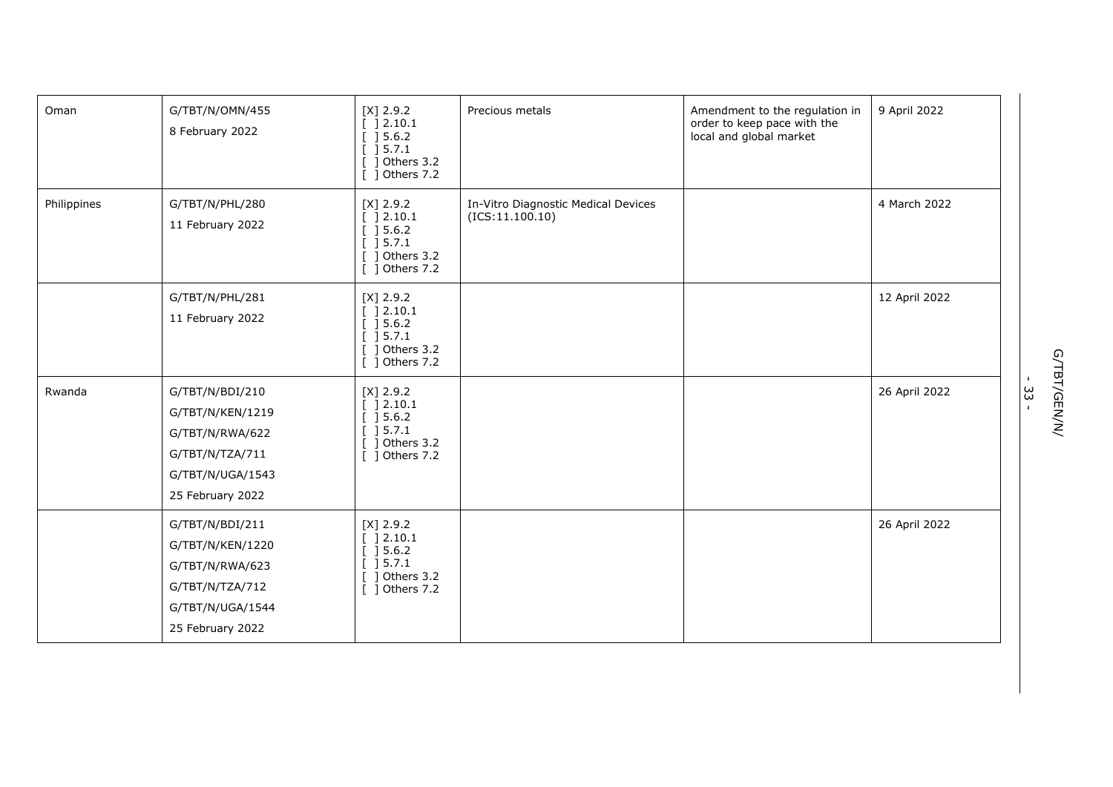| Oman        | G/TBT/N/OMN/455<br>8 February 2022                                                                                | $[X]$ 2.9.2<br>[ ] 2.10.1<br>[ ] 5.6.2]<br>[ ] 5.7.1<br>] Others 3.2<br>[ ] Others 7.2                               | Precious metals                                         | Amendment to the regulation in<br>order to keep pace with the<br>local and global market | 9 April 2022  |
|-------------|-------------------------------------------------------------------------------------------------------------------|----------------------------------------------------------------------------------------------------------------------|---------------------------------------------------------|------------------------------------------------------------------------------------------|---------------|
| Philippines | G/TBT/N/PHL/280<br>11 February 2022                                                                               | $[X]$ 2.9.2<br>[ ] 2.10.1<br>[ ] 5.6.2]<br>[ ] 5.7.1<br>$[$ ] Others 3.2<br>$\overline{$ [ $\overline{)}$ Others 7.2 | In-Vitro Diagnostic Medical Devices<br>(ICS: 11.100.10) |                                                                                          | 4 March 2022  |
|             | G/TBT/N/PHL/281<br>11 February 2022                                                                               | $[X]$ 2.9.2<br>[ ] 2.10.1<br>[ ] 5.6.2]<br>[ ] 5.7.1<br>$[$ ] Others 3.2<br>[ ] Others 7.2                           |                                                         |                                                                                          | 12 April 2022 |
| Rwanda      | G/TBT/N/BDI/210<br>G/TBT/N/KEN/1219<br>G/TBT/N/RWA/622<br>G/TBT/N/TZA/711<br>G/TBT/N/UGA/1543<br>25 February 2022 | $[X]$ 2.9.2<br>] 2.10.1<br>] 5.6.2<br>] 5.7.1<br>Others 3.2<br>ı<br>] Others 7.2                                     |                                                         |                                                                                          | 26 April 2022 |
|             | G/TBT/N/BDI/211<br>G/TBT/N/KEN/1220<br>G/TBT/N/RWA/623<br>G/TBT/N/TZA/712<br>G/TBT/N/UGA/1544<br>25 February 2022 | $[X]$ 2.9.2<br>[ ] 2.10.1<br>] 5.6.2<br>] 5.7.1<br>Others 3.2<br>-1<br>[ ] Others 7.2                                |                                                         |                                                                                          | 26 April 2022 |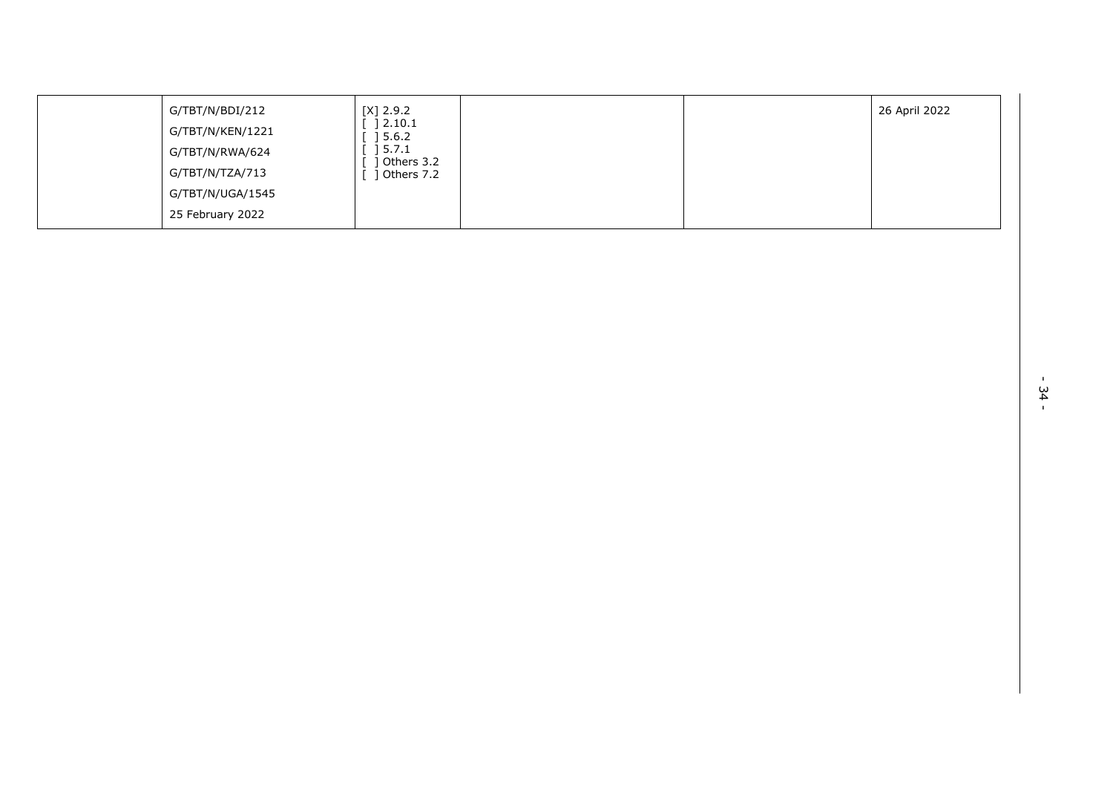| G/TBT/N/BDI/212  | [X] 2.9.2           |  | 26 April 2022 |
|------------------|---------------------|--|---------------|
| G/TBT/N/KEN/1221 | 2.10.1<br>5.6.2     |  |               |
| G/TBT/N/RWA/624  | 5.7.1<br>Others 3.2 |  |               |
| G/TBT/N/TZA/713  | Others 7.2          |  |               |
| G/TBT/N/UGA/1545 |                     |  |               |
| 25 February 2022 |                     |  |               |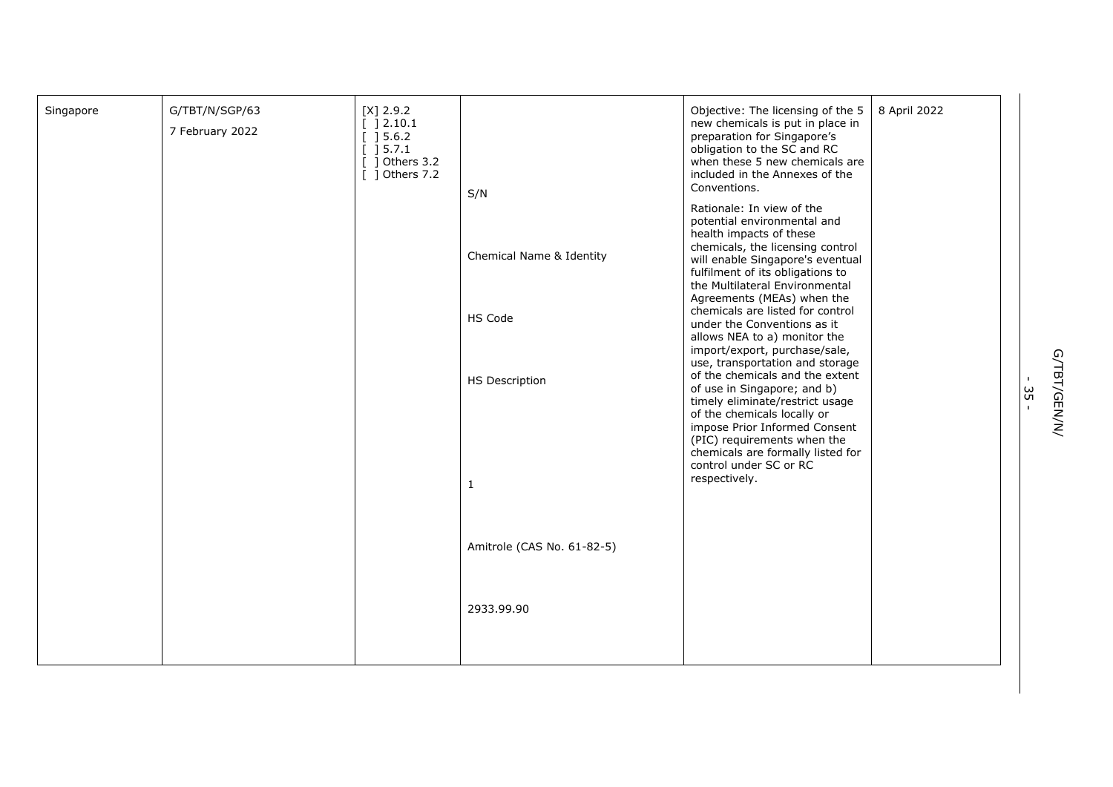| Singapore | G/TBT/N/SGP/63<br>7 February 2022 | $[X]$ 2.9.2<br>[ ]2.10.1<br>[ ] 5.6.2]<br>$\left[\begin{array}{c}1\end{array}\right]$ 5.7.1<br>$\int$ 0thers 3.2<br>$[$ ] Others 7.2 | S/N                        | Objective: The licensing of the 5<br>new chemicals is put in place in<br>preparation for Singapore's<br>obligation to the SC and RC<br>when these 5 new chemicals are<br>included in the Annexes of the<br>Conventions.               | 8 April 2022 |
|-----------|-----------------------------------|--------------------------------------------------------------------------------------------------------------------------------------|----------------------------|---------------------------------------------------------------------------------------------------------------------------------------------------------------------------------------------------------------------------------------|--------------|
|           |                                   |                                                                                                                                      | Chemical Name & Identity   | Rationale: In view of the<br>potential environmental and<br>health impacts of these<br>chemicals, the licensing control<br>will enable Singapore's eventual<br>fulfilment of its obligations to<br>the Multilateral Environmental     |              |
|           |                                   |                                                                                                                                      | HS Code                    | Agreements (MEAs) when the<br>chemicals are listed for control<br>under the Conventions as it<br>allows NEA to a) monitor the<br>import/export, purchase/sale,<br>use, transportation and storage                                     |              |
|           |                                   |                                                                                                                                      | <b>HS Description</b>      | of the chemicals and the extent<br>of use in Singapore; and b)<br>timely eliminate/restrict usage<br>of the chemicals locally or<br>impose Prior Informed Consent<br>(PIC) requirements when the<br>chemicals are formally listed for |              |
|           |                                   |                                                                                                                                      | $\mathbf{1}$               | control under SC or RC<br>respectively.                                                                                                                                                                                               |              |
|           |                                   |                                                                                                                                      | Amitrole (CAS No. 61-82-5) |                                                                                                                                                                                                                                       |              |
|           |                                   |                                                                                                                                      | 2933.99.90                 |                                                                                                                                                                                                                                       |              |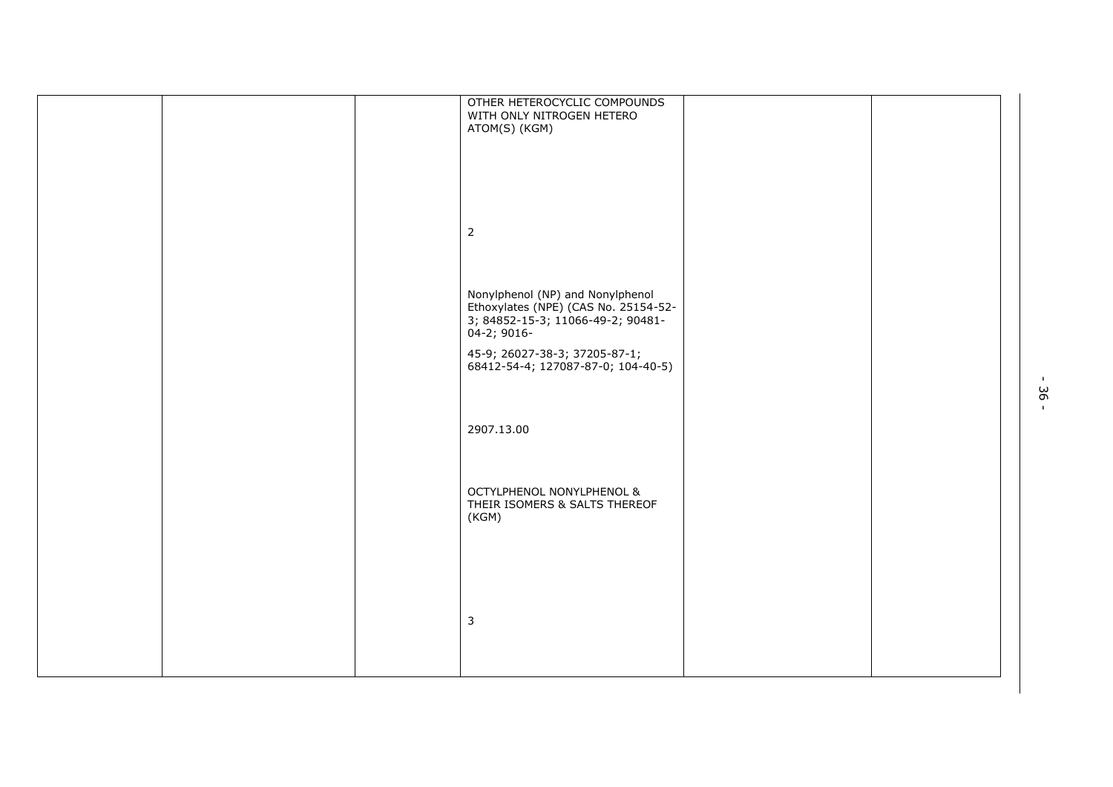|  | OTHER HETEROCYCLIC COMPOUNDS<br>WITH ONLY NITROGEN HETERO<br>ATOM(S) (KGM)                                                   |  |
|--|------------------------------------------------------------------------------------------------------------------------------|--|
|  |                                                                                                                              |  |
|  |                                                                                                                              |  |
|  | $\overline{2}$                                                                                                               |  |
|  |                                                                                                                              |  |
|  | Nonylphenol (NP) and Nonylphenol<br>Ethoxylates (NPE) (CAS No. 25154-52-<br>3; 84852-15-3; 11066-49-2; 90481-<br>04-2; 9016- |  |
|  | 45-9; 26027-38-3; 37205-87-1;<br>68412-54-4; 127087-87-0; 104-40-5)                                                          |  |
|  |                                                                                                                              |  |
|  | 2907.13.00                                                                                                                   |  |
|  | OCTYLPHENOL NONYLPHENOL &<br>THEIR ISOMERS & SALTS THEREOF<br>(KGM)                                                          |  |
|  |                                                                                                                              |  |
|  | $\mathbf{3}$                                                                                                                 |  |
|  |                                                                                                                              |  |
|  |                                                                                                                              |  |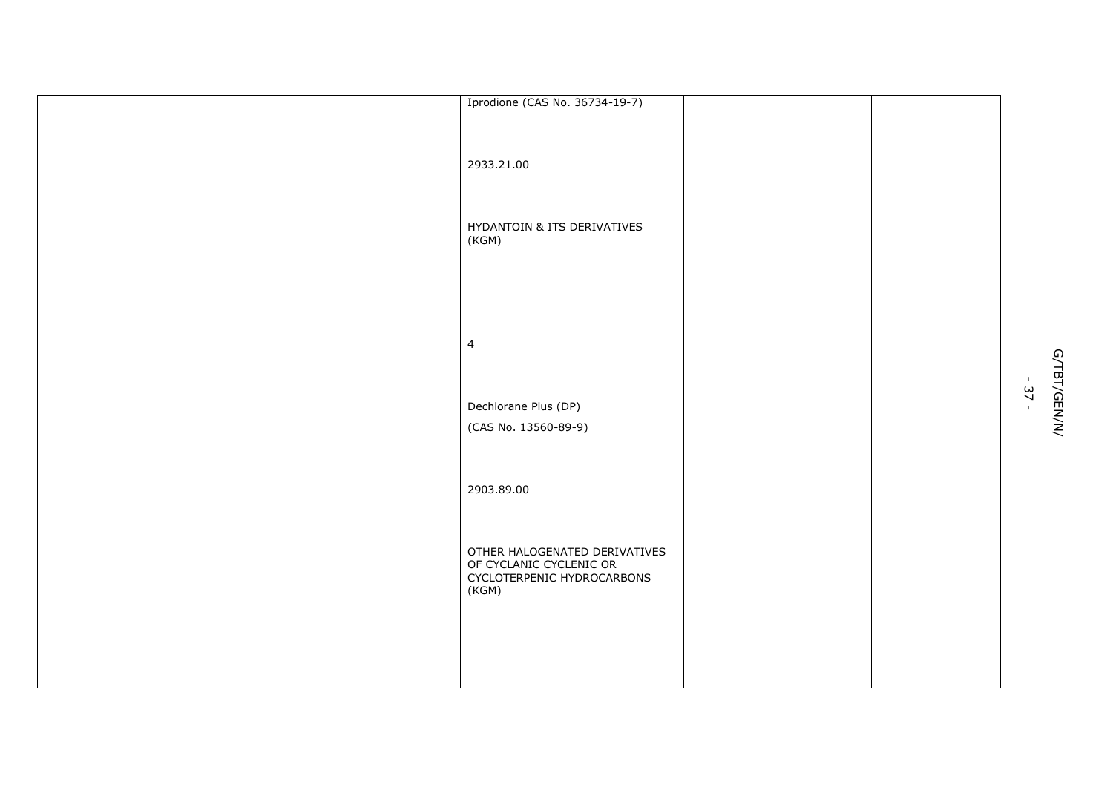| Iprodione (CAS No. 36734-19-7) |  |
|--------------------------------|--|
|                                |  |
|                                |  |
|                                |  |
| 2933.21.00                     |  |
|                                |  |
|                                |  |
|                                |  |
|                                |  |
| HYDANTOIN & ITS DERIVATIVES    |  |
| (KGM)                          |  |
|                                |  |
|                                |  |
|                                |  |
|                                |  |
|                                |  |
|                                |  |
|                                |  |
| $\overline{4}$                 |  |
|                                |  |
|                                |  |
|                                |  |
| Dechlorane Plus (DP)           |  |
|                                |  |
| (CAS No. 13560-89-9)           |  |
|                                |  |
|                                |  |
|                                |  |
| 2903.89.00                     |  |
|                                |  |
|                                |  |
|                                |  |
|                                |  |
| OTHER HALOGENATED DERIVATIVES  |  |
| OF CYCLANIC CYCLENIC OR        |  |
| CYCLOTERPENIC HYDROCARBONS     |  |
| (KGM)                          |  |
|                                |  |
|                                |  |
|                                |  |
|                                |  |
|                                |  |
|                                |  |
|                                |  |

.<br>- 37 -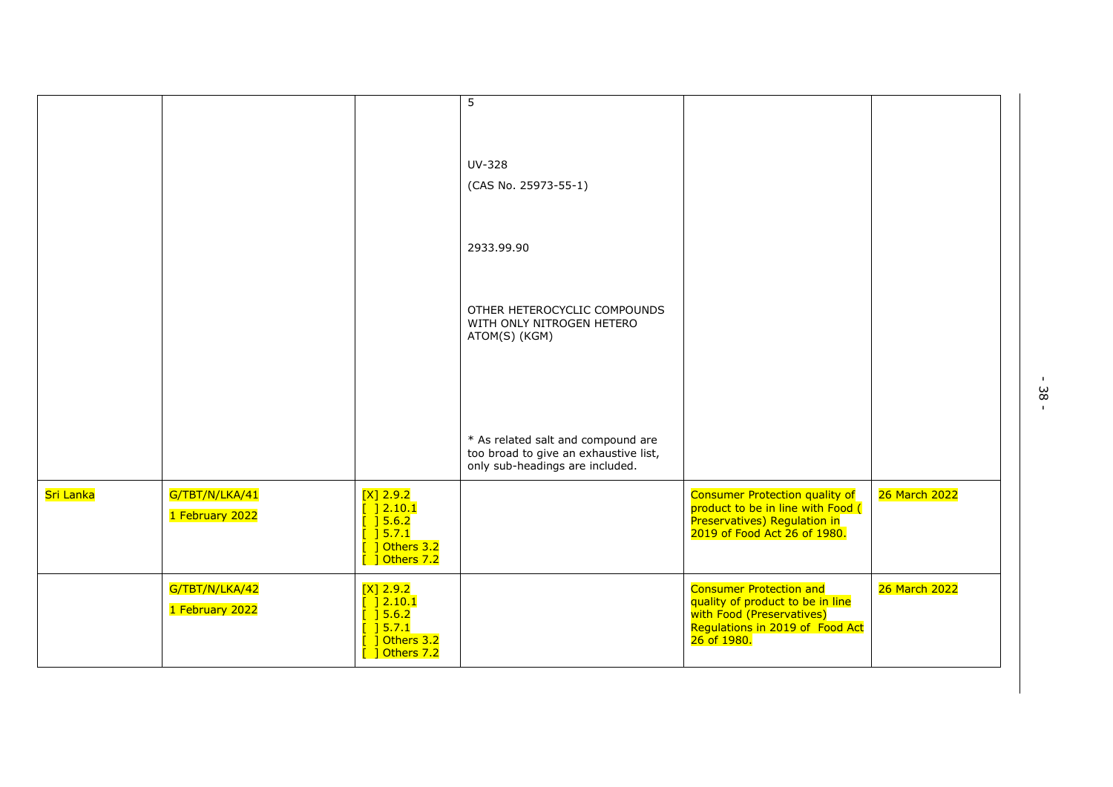| $\overline{5}$<br><b>UV-328</b><br>(CAS No. 25973-55-1)<br>2933.99.90<br>OTHER HETEROCYCLIC COMPOUNDS<br>WITH ONLY NITROGEN HETERO<br>ATOM(S) (KGM)<br>* As related salt and compound are<br>too broad to give an exhaustive list,<br>only sub-headings are included.<br>Sri Lanka<br>G/TBT/N/LKA/41<br>$[X]$ 2.9.2<br><b>Consumer Protection quality of</b><br>26 March 2022 |
|-------------------------------------------------------------------------------------------------------------------------------------------------------------------------------------------------------------------------------------------------------------------------------------------------------------------------------------------------------------------------------|
|                                                                                                                                                                                                                                                                                                                                                                               |
|                                                                                                                                                                                                                                                                                                                                                                               |
|                                                                                                                                                                                                                                                                                                                                                                               |
|                                                                                                                                                                                                                                                                                                                                                                               |
|                                                                                                                                                                                                                                                                                                                                                                               |
|                                                                                                                                                                                                                                                                                                                                                                               |
|                                                                                                                                                                                                                                                                                                                                                                               |
| $\frac{1}{2}$ 2.10.1<br>product to be in line with Food (<br>1 February 2022<br>$\overline{$ $\overline{]}$ 5.6.2<br>Preservatives) Regulation in<br>$\overline{$ $\overline{)$ 5.7.1<br>2019 of Food Act 26 of 1980.<br>$\frac{1}{2}$ Others 3.2<br>$\frac{1}{2}$ Others 7.2                                                                                                 |
| G/TBT/N/LKA/42<br><b>Consumer Protection and</b><br>26 March 2022<br>$[X]$ 2.9.2<br>$\frac{1}{2}$ 2.10.1<br>quality of product to be in line<br>1 February 2022<br>[ ] 5.6.2]<br>with Food (Preservatives)<br>[ ] 5.7.1<br>Regulations in 2019 of Food Act<br>] Others 3.2<br>26 of 1980.<br>[ ] Others 7.2                                                                   |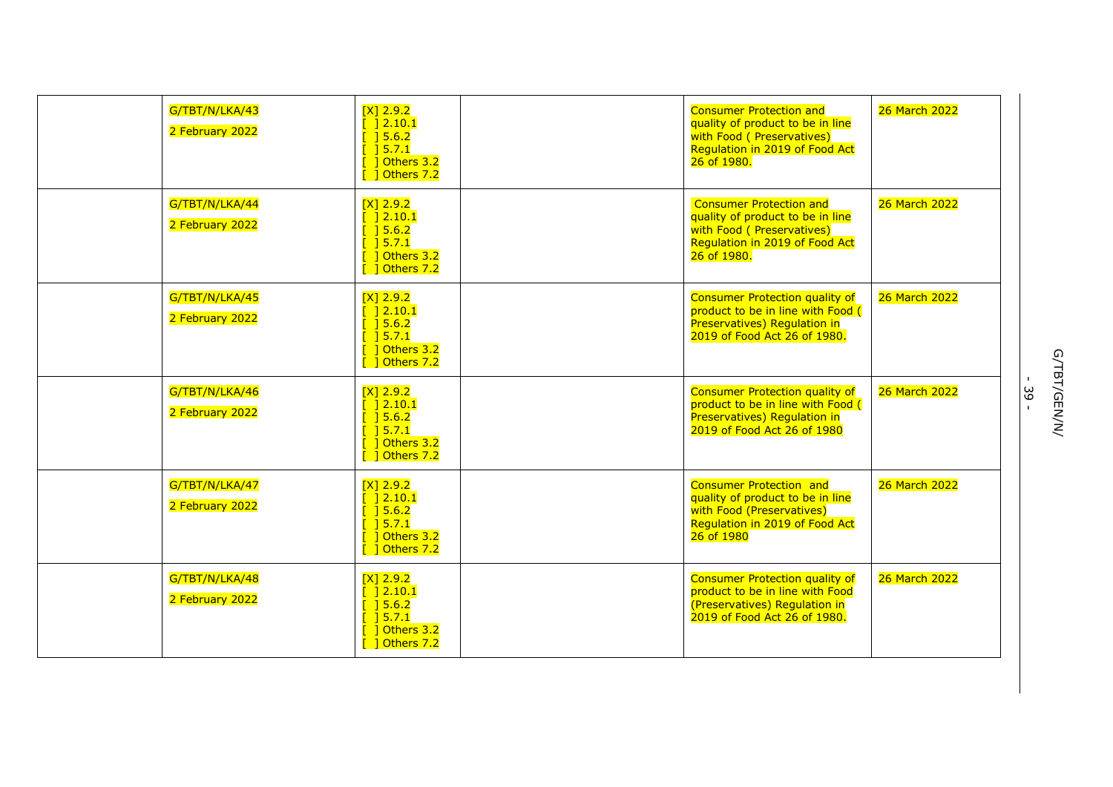| G/TBT/N/LKA/43<br>2 February 2022 | $[X]$ 2.9.2<br>$[$ $] 2.10.1$<br>$[$ 15.6.2<br>15.7.1<br>] Others 3.2<br>$[$ ] Others 7.2                                                                              | <b>Consumer Protection and</b><br>quality of product to be in line<br>with Food ( Preservatives)<br>Regulation in 2019 of Food Act<br>26 of 1980. | 26 March 2022 |
|-----------------------------------|------------------------------------------------------------------------------------------------------------------------------------------------------------------------|---------------------------------------------------------------------------------------------------------------------------------------------------|---------------|
| G/TBT/N/LKA/44<br>2 February 2022 | $[X]$ 2.9.2<br>$\lceil$ 12.10.1<br>$\frac{1}{2}$ 5.6.2<br>$[$ $]$ 5.7.1<br>$\lceil$ 1 Others 3.2<br>1 Others 7.2                                                       | <b>Consumer Protection and</b><br>quality of product to be in line<br>with Food ( Preservatives)<br>Regulation in 2019 of Food Act<br>26 of 1980. | 26 March 2022 |
| G/TBT/N/LKA/45<br>2 February 2022 | $[X]$ 2.9.2<br>$[$ $] 2.10.1$<br>$[$ $] 5.6.2$<br>] 5.7.1<br><b>1</b> Others 3.2<br>$\sqrt{2}$ 1 Others 7.2                                                            | <b>Consumer Protection quality of</b><br>product to be in line with Food (<br>Preservatives) Regulation in<br>2019 of Food Act 26 of 1980.        | 26 March 2022 |
| G/TBT/N/LKA/46<br>2 February 2022 | $[X]$ 2.9.2<br>$\frac{1}{2}$ 2.10.1<br>$[$ 15.6.2<br>$\sqrt{3}$ 15.7.1<br>$\begin{bmatrix} 1 \end{bmatrix}$ Others 3.2<br>$\begin{bmatrix} 1 \end{bmatrix}$ Others 7.2 | <b>Consumer Protection quality of</b><br>product to be in line with Food (<br>Preservatives) Regulation in<br>2019 of Food Act 26 of 1980         | 26 March 2022 |
| G/TBT/N/LKA/47<br>2 February 2022 | $[X]$ 2.9.2<br>$\lceil$ 12.10.1<br>$\overline{$ $\overline{)}$ 5.6.2<br>$\frac{1}{2}$ 5.7.1<br><b>1</b> Others 3.2<br>$\sqrt{2}$ 1 Others 7.2                          | <b>Consumer Protection and</b><br>quality of product to be in line<br>with Food (Preservatives)<br>Regulation in 2019 of Food Act<br>26 of 1980   | 26 March 2022 |
| G/TBT/N/LKA/48<br>2 February 2022 | $[X]$ 2.9.2<br>$[$ $] 2.10.1$<br>$[$ ] 5.6.2<br>$\sqrt{3}$ 15.7.1<br>1 Others 3.2<br>$\begin{bmatrix} 1 \end{bmatrix}$ Others 7.2                                      | <b>Consumer Protection quality of</b><br>product to be in line with Food<br>(Preservatives) Regulation in<br>2019 of Food Act 26 of 1980.         | 26 March 2022 |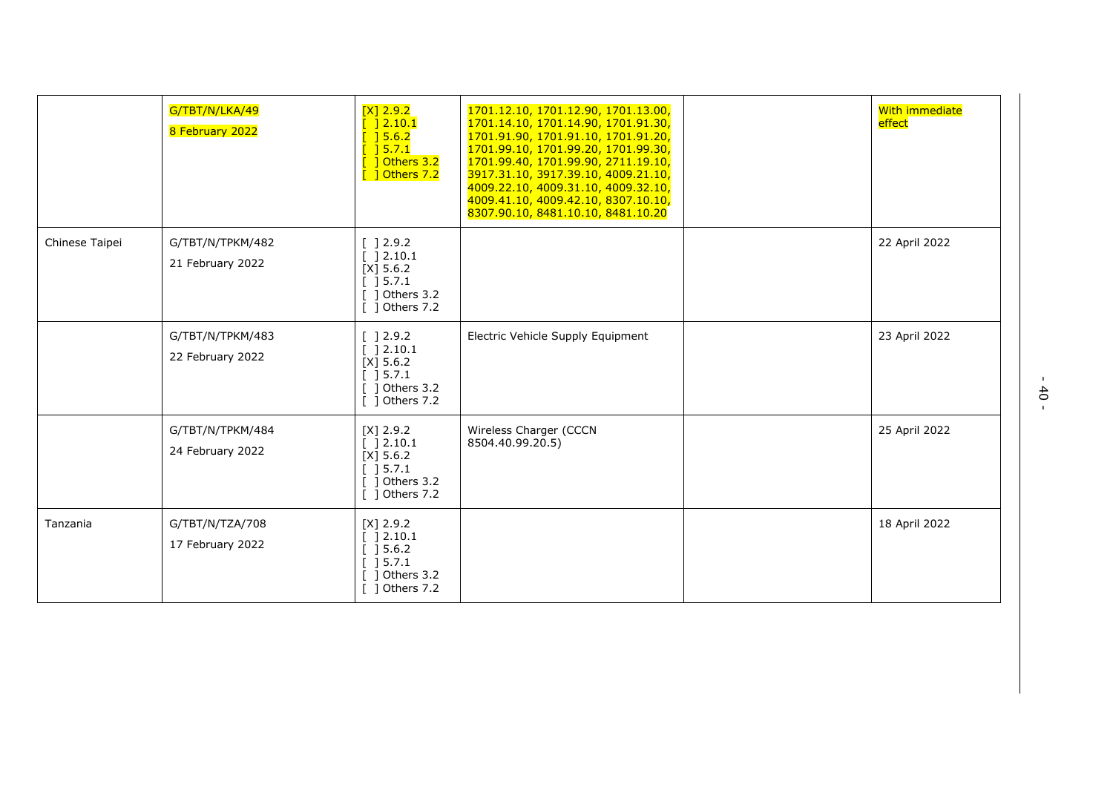|                | G/TBT/N/LKA/49<br>8 February 2022    | $[X]$ 2.9.2<br>$[$ $]$ 2.10.1<br>$[$ ] 5.6.2<br>$[$ 1 5.7.1<br>1 Others 3.2<br>$[$ ] Others 7.2                                             | 1701.12.10, 1701.12.90, 1701.13.00,<br>1701.14.10, 1701.14.90, 1701.91.30,<br>1701.91.90, 1701.91.10, 1701.91.20,<br>1701.99.10, 1701.99.20, 1701.99.30,<br>1701.99.40, 1701.99.90, 2711.19.10,<br>3917.31.10, 3917.39.10, 4009.21.10,<br>4009.22.10, 4009.31.10, 4009.32.10,<br>4009.41.10, 4009.42.10, 8307.10.10,<br>8307.90.10, 8481.10.10, 8481.10.20 | <b>With immediate</b><br>effect |
|----------------|--------------------------------------|---------------------------------------------------------------------------------------------------------------------------------------------|------------------------------------------------------------------------------------------------------------------------------------------------------------------------------------------------------------------------------------------------------------------------------------------------------------------------------------------------------------|---------------------------------|
| Chinese Taipei | G/TBT/N/TPKM/482<br>21 February 2022 | [ ] 2.9.2<br>[ ]2.10.1<br>[X] 5.6.2<br>] 5.7.1<br>1 Others 3.2<br>1 Others 7.2                                                              |                                                                                                                                                                                                                                                                                                                                                            | 22 April 2022                   |
|                | G/TBT/N/TPKM/483<br>22 February 2022 | $\left[\begin{array}{c} 12.9.2 \end{array}\right]$<br>$[ ] 2.10.1$<br>$[X]$ 5.6.2<br>[ ] 5.7.1<br>$[$ ] Others 3.2<br>$\lceil$ 1 Others 7.2 | Electric Vehicle Supply Equipment                                                                                                                                                                                                                                                                                                                          | 23 April 2022                   |
|                | G/TBT/N/TPKM/484<br>24 February 2022 | $[X]$ 2.9.2<br>[ ] 2.10.1<br>$[X]$ 5.6.2<br>$\begin{bmatrix} 1 & 5 & 7 & 1 \end{bmatrix}$<br>Others 3.2<br>1 Others 7.2                     | Wireless Charger (CCCN<br>8504.40.99.20.5)                                                                                                                                                                                                                                                                                                                 | 25 April 2022                   |
| Tanzania       | G/TBT/N/TZA/708<br>17 February 2022  | $[X]$ 2.9.2<br>[ ] 2.10.1<br>$\left[\begin{array}{c}$ 15.6.2<br>] 5.7.1<br>Others 3.2<br>1 Others 7.2                                       |                                                                                                                                                                                                                                                                                                                                                            | 18 April 2022                   |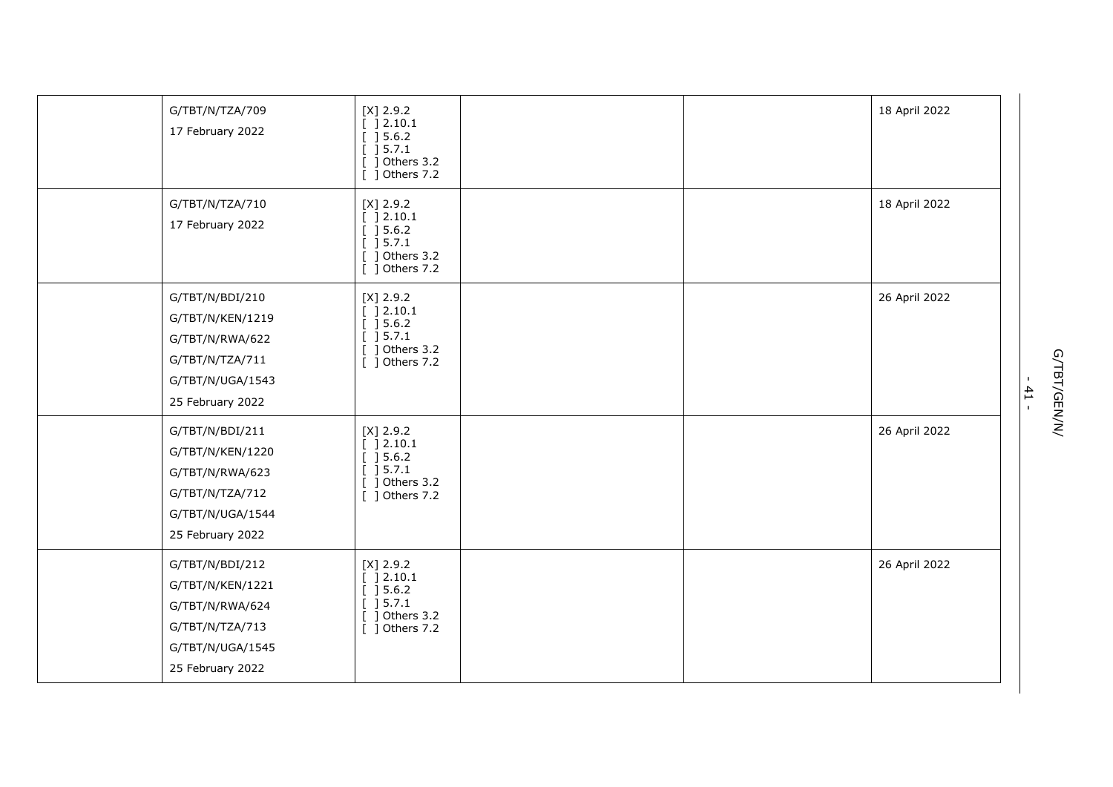| G/TBT/N/TZA/709<br>17 February 2022                                                                               | $[X]$ 2.9.2<br>[ ] 2.10.1<br>$[$ 15.6.2<br>[ ] 5.7.1<br>$[$ ] Others 3.2<br>[ ] Others 7.2 |  | 18 April 2022 |
|-------------------------------------------------------------------------------------------------------------------|--------------------------------------------------------------------------------------------|--|---------------|
| G/TBT/N/TZA/710<br>17 February 2022                                                                               | $[X]$ 2.9.2<br>[ ] 2.10.1<br>[ ] 5.6.2]<br>[ ] 5.7.1<br>$[$ ] Others 3.2<br>[ ] Others 7.2 |  | 18 April 2022 |
| G/TBT/N/BDI/210<br>G/TBT/N/KEN/1219<br>G/TBT/N/RWA/622<br>G/TBT/N/TZA/711<br>G/TBT/N/UGA/1543<br>25 February 2022 | $[X]$ 2.9.2<br>[ ] 2.10.1<br>[ ] 5.6.2]<br>[ ] 5.7.1<br>$[$ ] Others 3.2<br>[ ] Others 7.2 |  | 26 April 2022 |
| G/TBT/N/BDI/211<br>G/TBT/N/KEN/1220<br>G/TBT/N/RWA/623<br>G/TBT/N/TZA/712<br>G/TBT/N/UGA/1544<br>25 February 2022 | $[X]$ 2.9.2<br>[ ] 2.10.1<br>[ ] 5.6.2]<br>[ ] 5.7.1<br>$[$ ] Others 3.2<br>[ ] Others 7.2 |  | 26 April 2022 |
| G/TBT/N/BDI/212<br>G/TBT/N/KEN/1221<br>G/TBT/N/RWA/624<br>G/TBT/N/TZA/713<br>G/TBT/N/UGA/1545<br>25 February 2022 | $[X]$ 2.9.2<br>[ ] 2.10.1<br>[ ] 5.6.2]<br>[ ] 5.7.1<br>$[$ ] Others 3.2<br>[ ] Others 7.2 |  | 26 April 2022 |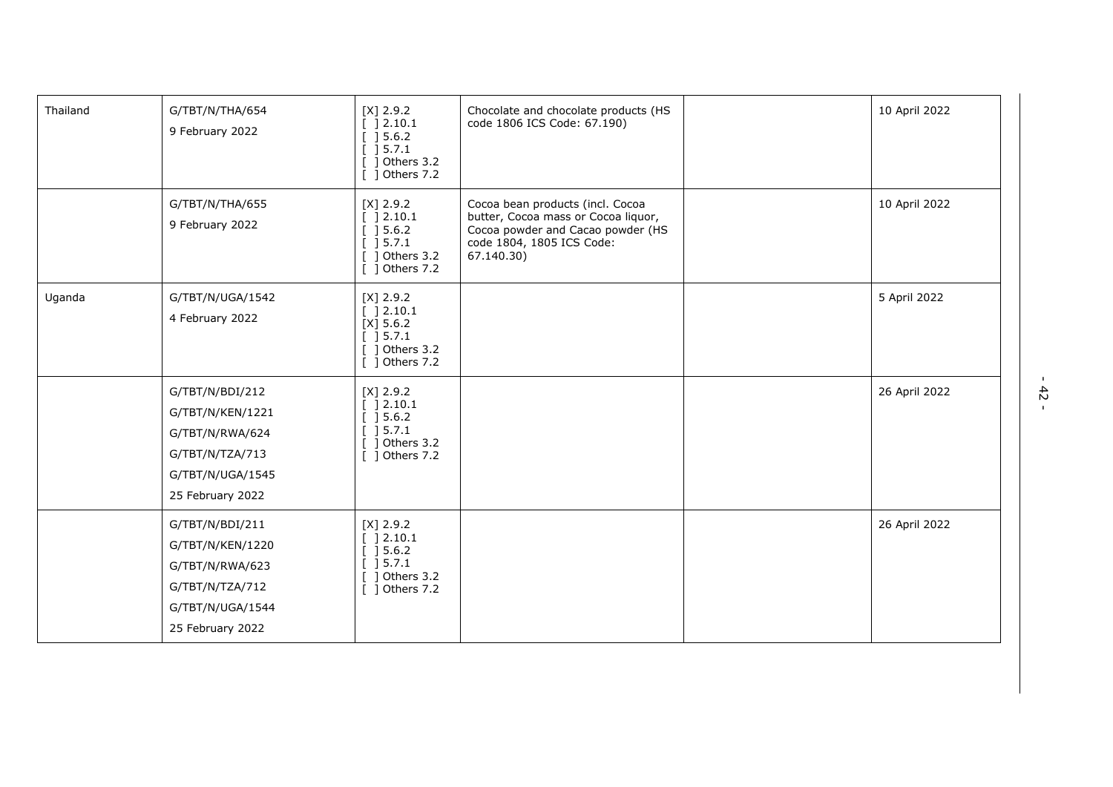| Thailand | G/TBT/N/THA/654<br>9 February 2022                                                                                | $[X]$ 2.9.2<br>] 2.10.1<br>] 5.6.2<br>] 5.7.1<br>Others 3.2<br>Others 7.2                                                 | Chocolate and chocolate products (HS<br>code 1806 ICS Code: 67.190)                                                                                     | 10 April 2022 |
|----------|-------------------------------------------------------------------------------------------------------------------|---------------------------------------------------------------------------------------------------------------------------|---------------------------------------------------------------------------------------------------------------------------------------------------------|---------------|
|          | G/TBT/N/THA/655<br>9 February 2022                                                                                | $[X]$ 2.9.2<br>] 2.10.1<br>$\left[\begin{array}{c}15.6.2\end{array}\right]$<br>15.7.1<br>] Others 3.2<br>$[$ ] Others 7.2 | Cocoa bean products (incl. Cocoa<br>butter, Cocoa mass or Cocoa liquor,<br>Cocoa powder and Cacao powder (HS<br>code 1804, 1805 ICS Code:<br>67.140.30) | 10 April 2022 |
| Uganda   | G/TBT/N/UGA/1542<br>4 February 2022                                                                               | $[X]$ 2.9.2<br>[ ] 2.10.1<br>$[X]$ 5.6.2<br>] 5.7.1<br>] Others 3.2<br>$[$ ] Others 7.2                                   |                                                                                                                                                         | 5 April 2022  |
|          | G/TBT/N/BDI/212<br>G/TBT/N/KEN/1221<br>G/TBT/N/RWA/624<br>G/TBT/N/TZA/713<br>G/TBT/N/UGA/1545<br>25 February 2022 | $[X]$ 2.9.2<br>[ ]2.10.1]<br>] 5.6.2<br>$\begin{bmatrix} 1 & 5 & .7 & .1 \end{bmatrix}$<br>1 Others 3.2<br>[ ] Others 7.2 |                                                                                                                                                         | 26 April 2022 |
|          | G/TBT/N/BDI/211<br>G/TBT/N/KEN/1220<br>G/TBT/N/RWA/623<br>G/TBT/N/TZA/712<br>G/TBT/N/UGA/1544<br>25 February 2022 | $[X]$ 2.9.2<br>[ ]2.10.1<br>] 5.6.2<br>] 5.7.1<br>Others 3.2<br>-1<br>$\lceil$ 1 Others 7.2                               |                                                                                                                                                         | 26 April 2022 |

- 42 -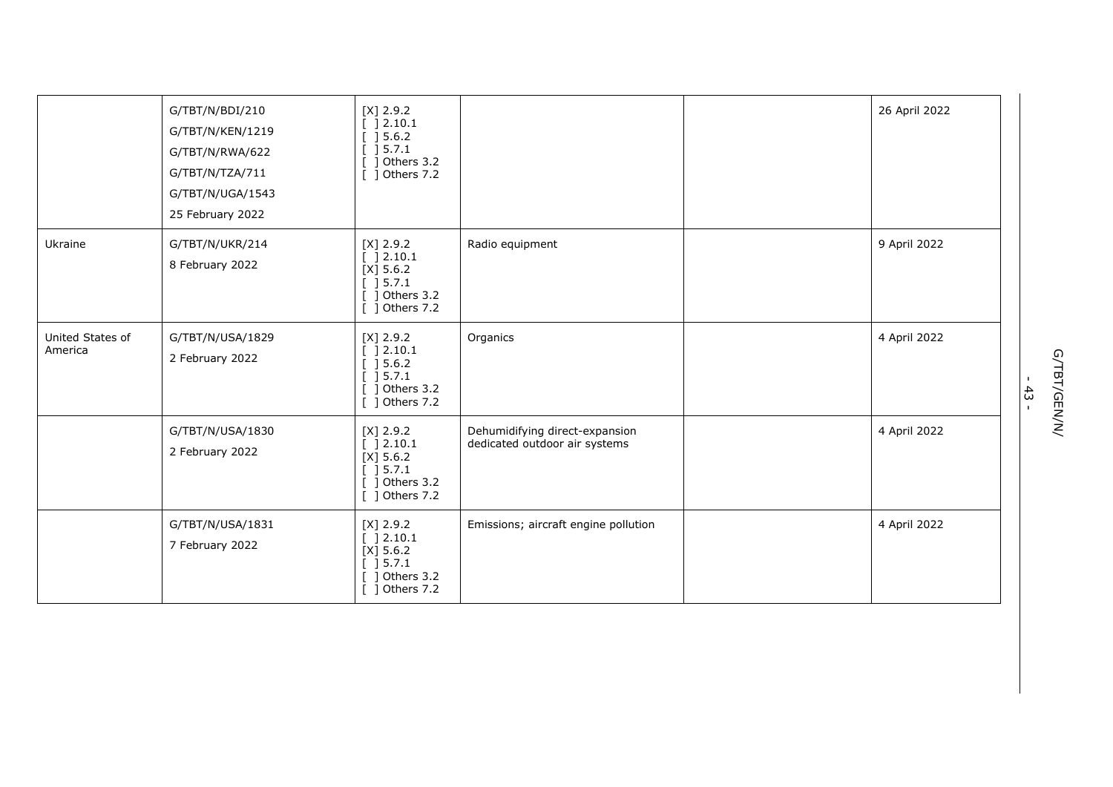|                             | G/TBT/N/BDI/210<br>G/TBT/N/KEN/1219<br>G/TBT/N/RWA/622<br>G/TBT/N/TZA/711<br>G/TBT/N/UGA/1543<br>25 February 2022 | $[X]$ 2.9.2<br>[ ] 2.10.1<br>[ ] 5.6.2]<br>[ ] 5.7.1<br>] Others 3.2<br>[ ] Others 7.2                          |                                                                 | 26 April 2022 |
|-----------------------------|-------------------------------------------------------------------------------------------------------------------|-----------------------------------------------------------------------------------------------------------------|-----------------------------------------------------------------|---------------|
| Ukraine                     | G/TBT/N/UKR/214<br>8 February 2022                                                                                | $[X]$ 2.9.2<br>[ ] 2.10.1<br>$[X]$ 5.6.2<br>[ ] 5.7.1<br>[ ] Others 3.2<br>[ ] Others 7.2                       | Radio equipment                                                 | 9 April 2022  |
| United States of<br>America | G/TBT/N/USA/1829<br>2 February 2022                                                                               | $[X]$ 2.9.2<br>[ ] 2.10.1<br>[ ] 5.6.2]<br>[ ] 5.7.1<br>[ ] Others 3.2<br>[ ] Others 7.2                        | Organics                                                        | 4 April 2022  |
|                             | G/TBT/N/USA/1830<br>2 February 2022                                                                               | $[X]$ 2.9.2<br>[ ] 2.10.1<br>$[X]$ 5.6.2<br>$\begin{array}{c} \end{array}$ 15.7.1<br>Others 3.2<br>] Others 7.2 | Dehumidifying direct-expansion<br>dedicated outdoor air systems | 4 April 2022  |
|                             | G/TBT/N/USA/1831<br>7 February 2022                                                                               | $[X]$ 2.9.2<br>[ ] 2.10.1<br>$[X]$ 5.6.2<br>[ ] 5.7.1<br>] Others 3.2<br>[ ] Others 7.2                         | Emissions; aircraft engine pollution                            | 4 April 2022  |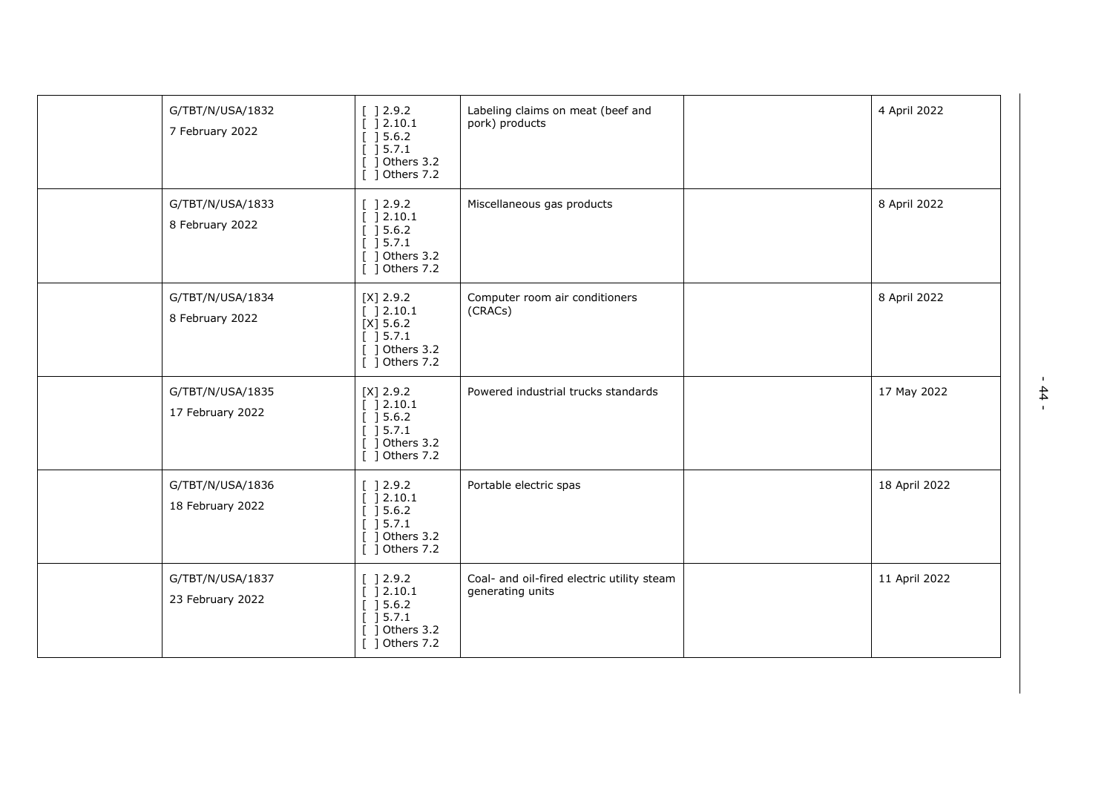| G/TBT/N/USA/1832<br>7 February 2022  | [ ] 2.9.2]<br>[ ] 2.10.1<br>[ ] 5.6.2]<br>] 5.7.1<br>Others 3.2<br>Others 7.2<br>- 1                                       | Labeling claims on meat (beef and<br>pork) products            | 4 April 2022  |
|--------------------------------------|----------------------------------------------------------------------------------------------------------------------------|----------------------------------------------------------------|---------------|
| G/TBT/N/USA/1833<br>8 February 2022  | [ ] 2.9.2]<br>[ ]2.10.1]<br>] 5.6.2<br>] 5.7.1<br>] Others 3.2<br>Others 7.2                                               | Miscellaneous gas products                                     | 8 April 2022  |
| G/TBT/N/USA/1834<br>8 February 2022  | $[X]$ 2.9.2<br>[ ] 2.10.1<br>$[X]$ 5.6.2<br>[ ] 5.7.1<br>$[$ ] Others 3.2<br>[ ] Others 7.2                                | Computer room air conditioners<br>(CRACs)                      | 8 April 2022  |
| G/TBT/N/USA/1835<br>17 February 2022 | $[X]$ 2.9.2<br>[ ]2.10.1<br>[ ] 5.6.2]<br>$\overline{$ [ ] 5.7.1<br>] Others 3.2<br>[ ] Others 7.2                         | Powered industrial trucks standards                            | 17 May 2022   |
| G/TBT/N/USA/1836<br>18 February 2022 | [ ] 2.9.2]<br>[ ] 2.10.1<br>$\left[\begin{array}{c} 3.6.2 \end{array}\right]$<br>] 5.7.1<br>1 Others 3.2<br>[ ] Others 7.2 | Portable electric spas                                         | 18 April 2022 |
| G/TBT/N/USA/1837<br>23 February 2022 | $\lbrack 12.9.2 \rbrack$<br>] 2.10.1<br>] 5.6.2<br>$\overline{$ [ ] 5.7.1<br>Others 3.2<br>$[$ ] Others 7.2                | Coal- and oil-fired electric utility steam<br>generating units | 11 April 2022 |